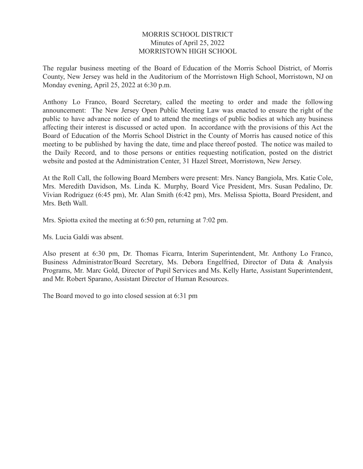#### MORRIS SCHOOL DISTRICT Minutes of April 25, 2022 MORRISTOWN HIGH SCHOOL

The regular business meeting of the Board of Education of the Morris School District, of Morris County, New Jersey was held in the Auditorium of the Morristown High School, Morristown, NJ on Monday evening, April 25, 2022 at 6:30 p.m.

Anthony Lo Franco, Board Secretary, called the meeting to order and made the following announcement: The New Jersey Open Public Meeting Law was enacted to ensure the right of the public to have advance notice of and to attend the meetings of public bodies at which any business affecting their interest is discussed or acted upon. In accordance with the provisions of this Act the Board of Education of the Morris School District in the County of Morris has caused notice of this meeting to be published by having the date, time and place thereof posted. The notice was mailed to the Daily Record, and to those persons or entities requesting notification, posted on the district website and posted at the Administration Center, 31 Hazel Street, Morristown, New Jersey.

At the Roll Call, the following Board Members were present: Mrs. Nancy Bangiola, Mrs. Katie Cole, Mrs. Meredith Davidson, Ms. Linda K. Murphy, Board Vice President, Mrs. Susan Pedalino, Dr. Vivian Rodriguez (6:45 pm), Mr. Alan Smith (6:42 pm), Mrs. Melissa Spiotta, Board President, and Mrs. Beth Wall.

Mrs. Spiotta exited the meeting at 6:50 pm, returning at 7:02 pm.

Ms. Lucia Galdi was absent.

Also present at 6:30 pm, Dr. Thomas Ficarra, Interim Superintendent, Mr. Anthony Lo Franco, Business Administrator/Board Secretary, Ms. Debora Engelfried, Director of Data & Analysis Programs, Mr. Marc Gold, Director of Pupil Services and Ms. Kelly Harte, Assistant Superintendent, and Mr. Robert Sparano, Assistant Director of Human Resources.

The Board moved to go into closed session at 6:31 pm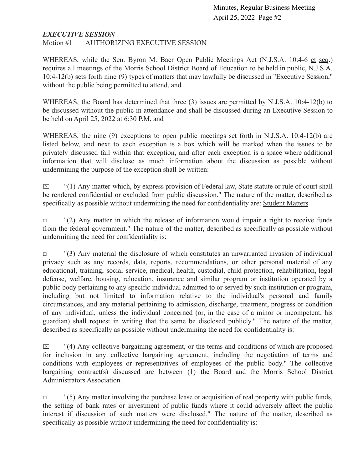#### *EXECUTIVE SESSION*

Motion #1 AUTHORIZING EXECUTIVE SESSION

WHEREAS, while the Sen. Byron M. Baer Open Public Meetings Act (N.J.S.A. 10:4-6 et seq.) requires all meetings of the Morris School District Board of Education to be held in public, N.J.S.A. 10:4-12(b) sets forth nine (9) types of matters that may lawfully be discussed in "Executive Session," without the public being permitted to attend, and

WHEREAS, the Board has determined that three (3) issues are permitted by N.J.S.A. 10:4-12(b) to be discussed without the public in attendance and shall be discussed during an Executive Session to be held on April 25, 2022 at 6:30 P.M, and

WHEREAS, the nine (9) exceptions to open public meetings set forth in N.J.S.A. 10:4-12(b) are listed below, and next to each exception is a box which will be marked when the issues to be privately discussed fall within that exception, and after each exception is a space where additional information that will disclose as much information about the discussion as possible without undermining the purpose of the exception shall be written:

 $\boxtimes$  "(1) Any matter which, by express provision of Federal law, State statute or rule of court shall be rendered confidential or excluded from public discussion." The nature of the matter, described as specifically as possible without undermining the need for confidentiality are: Student Matters

 $\Box$  "(2) Any matter in which the release of information would impair a right to receive funds from the federal government." The nature of the matter, described as specifically as possible without undermining the need for confidentiality is:

 $\Box$  "(3) Any material the disclosure of which constitutes an unwarranted invasion of individual privacy such as any records, data, reports, recommendations, or other personal material of any educational, training, social service, medical, health, custodial, child protection, rehabilitation, legal defense, welfare, housing, relocation, insurance and similar program or institution operated by a public body pertaining to any specific individual admitted to or served by such institution or program, including but not limited to information relative to the individual's personal and family circumstances, and any material pertaining to admission, discharge, treatment, progress or condition of any individual, unless the individual concerned (or, in the case of a minor or incompetent, his guardian) shall request in writing that the same be disclosed publicly." The nature of the matter, described as specifically as possible without undermining the need for confidentiality is:

 $\boxtimes$  "(4) Any collective bargaining agreement, or the terms and conditions of which are proposed for inclusion in any collective bargaining agreement, including the negotiation of terms and conditions with employees or representatives of employees of the public body." The collective bargaining contract(s) discussed are between (1) the Board and the Morris School District Administrators Association.

 $\Box$  "(5) Any matter involving the purchase lease or acquisition of real property with public funds, the setting of bank rates or investment of public funds where it could adversely affect the public interest if discussion of such matters were disclosed." The nature of the matter, described as specifically as possible without undermining the need for confidentiality is: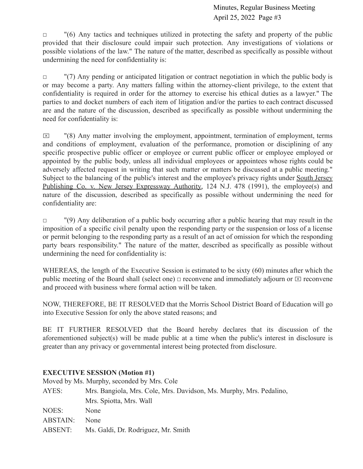$\Box$  "(6) Any tactics and techniques utilized in protecting the safety and property of the public provided that their disclosure could impair such protection. Any investigations of violations or possible violations of the law." The nature of the matter, described as specifically as possible without undermining the need for confidentiality is:

 $\Box$  "(7) Any pending or anticipated litigation or contract negotiation in which the public body is or may become a party. Any matters falling within the attorney-client privilege, to the extent that confidentiality is required in order for the attorney to exercise his ethical duties as a lawyer." The parties to and docket numbers of each item of litigation and/or the parties to each contract discussed are and the nature of the discussion, described as specifically as possible without undermining the need for confidentiality is:

 $\boxtimes$  "(8) Any matter involving the employment, appointment, termination of employment, terms and conditions of employment, evaluation of the performance, promotion or disciplining of any specific prospective public officer or employee or current public officer or employee employed or appointed by the public body, unless all individual employees or appointees whose rights could be adversely affected request in writing that such matter or matters be discussed at a public meeting." Subject to the balancing of the public's interest and the employee's privacy rights under South Jersey Publishing Co. v. New Jersey Expressway Authority, 124 N.J. 478 (1991), the employee(s) and nature of the discussion, described as specifically as possible without undermining the need for confidentiality are:

□ (9) Any deliberation of a public body occurring after a public hearing that may result in the imposition of a specific civil penalty upon the responding party or the suspension or loss of a license or permit belonging to the responding party as a result of an act of omission for which the responding party bears responsibility." The nature of the matter, described as specifically as possible without undermining the need for confidentiality is:

WHEREAS, the length of the Executive Session is estimated to be sixty (60) minutes after which the public meeting of the Board shall (select one)  $\Box$  reconvene and immediately adjourn or  $\Box$  reconvene and proceed with business where formal action will be taken.

NOW, THEREFORE, BE IT RESOLVED that the Morris School District Board of Education will go into Executive Session for only the above stated reasons; and

BE IT FURTHER RESOLVED that the Board hereby declares that its discussion of the aforementioned subject(s) will be made public at a time when the public's interest in disclosure is greater than any privacy or governmental interest being protected from disclosure.

# **EXECUTIVE SESSION (Motion #1)**

Moved by Ms. Murphy, seconded by Mrs. Cole

| AYES:           | Mrs. Bangiola, Mrs. Cole, Mrs. Davidson, Ms. Murphy, Mrs. Pedalino, |
|-----------------|---------------------------------------------------------------------|
|                 | Mrs. Spiotta, Mrs. Wall                                             |
| NOES:           | <b>None</b>                                                         |
| <b>ABSTAIN:</b> | <b>None</b>                                                         |
| ABSENT:         | Ms. Galdi, Dr. Rodriguez, Mr. Smith                                 |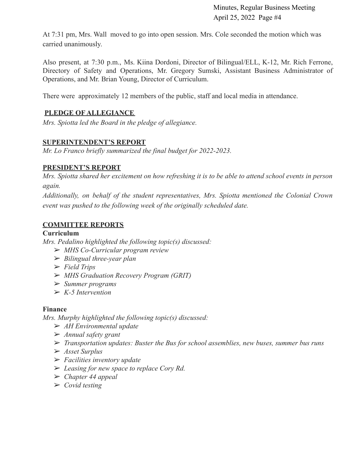At 7:31 pm, Mrs. Wall moved to go into open session. Mrs. Cole seconded the motion which was carried unanimously.

Also present, at 7:30 p.m., Ms. Kiina Dordoni, Director of Bilingual/ELL, K-12, Mr. Rich Ferrone, Directory of Safety and Operations, Mr. Gregory Sumski, Assistant Business Administrator of Operations, and Mr. Brian Young, Director of Curriculum.

There were approximately 12 members of the public, staff and local media in attendance.

# **PLEDGE OF ALLEGIANCE**

*Mrs. Spiotta led the Board in the pledge of allegiance.*

# **SUPERINTENDENT'S REPORT**

*Mr. Lo Franco briefly summarized the final budget for 2022-2023.*

# **PRESIDENT'S REPORT**

Mrs. Spiotta shared her excitement on how refreshing it is to be able to attend school events in person *again.*

*Additionally, on behalf of the student representatives, Mrs. Spiotta mentioned the Colonial Crown event was pushed to the following week of the originally scheduled date.*

# **COMMITTEE REPORTS**

# **Curriculum**

*Mrs. Pedalino highlighted the following topic(s) discussed:*

- ➢ *MHS Co-Curricular program review*
- ➢ *Bilingual three-year plan*
- ➢ *Field Trips*
- ➢ *MHS Graduation Recovery Program (GRIT)*
- ➢ *Summer programs*
- ➢ *K-5 Intervention*

# **Finance**

*Mrs. Murphy highlighted the following topic(s) discussed:*

- ➢ *AH Environmental update*
- ➢ *Annual safety grant*
- ➢ *Transportation updates: Buster the Bus for school assemblies, new buses, summer bus runs*
- ➢ *Asset Surplus*
- ➢ *Facilities inventory update*
- ➢ *Leasing for new space to replace Cory Rd.*
- ➢ *Chapter 44 appeal*
- ➢ *Covid testing*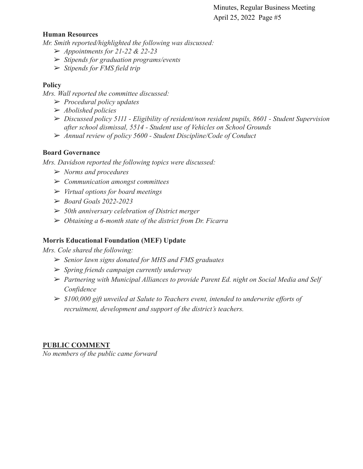#### **Human Resources**

*Mr. Smith reported/highlighted the following was discussed:*

- ➢ *Appointments for 21-22 & 22-23*
- ➢ *Stipends for graduation programs/events*
- ➢ *Stipends for FMS field trip*

#### **Policy**

*Mrs. Wall reported the committee discussed:*

- ➢ *Procedural policy updates*
- ➢ *Abolished policies*
- ➢ *Discussed policy 5111 Eligibility of resident/non resident pupils, 8601 Student Supervision after school dismissal, 5514 - Student use of Vehicles on School Grounds*
- ➢ *Annual review of policy 5600 Student Discipline/Code of Conduct*

#### **Board Governance**

*Mrs. Davidson reported the following topics were discussed:*

- ➢ *Norms and procedures*
- ➢ *Communication amongst committees*
- ➢ *Virtual options for board meetings*
- ➢ *Board Goals 2022-2023*
- ➢ *50th anniversary celebration of District merger*
- ➢ *Obtaining a 6-month state of the district from Dr. Ficarra*

#### **Morris Educational Foundation (MEF) Update**

*Mrs. Cole shared the following:*

- ➢ *Senior lawn signs donated for MHS and FMS graduates*
- ➢ *Spring friends campaign currently underway*
- ➢ *Partnering with Municipal Alliances to provide Parent Ed. night on Social Media and Self Confidence*
- ➢ *\$100,000 gift unveiled at Salute to Teachers event, intended to underwrite efforts of recruitment, development and support of the district's teachers.*

#### **PUBLIC COMMENT**

*No members of the public came forward*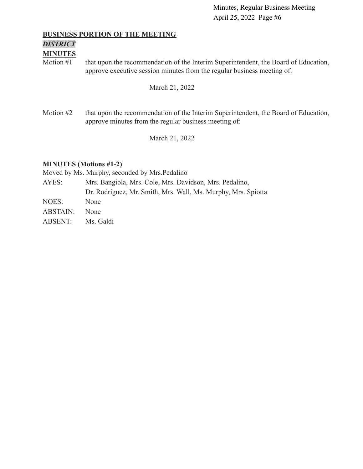#### **BUSINESS PORTION OF THE MEETING**

# *DISTRICT*

#### **MINUTES**

Motion #1 that upon the recommendation of the Interim Superintendent, the Board of Education, approve executive session minutes from the regular business meeting of:

March 21, 2022

Motion #2 that upon the recommendation of the Interim Superintendent, the Board of Education, approve minutes from the regular business meeting of:

March 21, 2022

# **MINUTES (Motions #1-2)**

Moved by Ms. Murphy, seconded by Mrs.Pedalino

- AYES: Mrs. Bangiola, Mrs. Cole, Mrs. Davidson, Mrs. Pedalino, Dr. Rodriguez, Mr. Smith, Mrs. Wall, Ms. Murphy, Mrs. Spiotta NOES: None ABSTAIN: None
- ABSENT: Ms. Galdi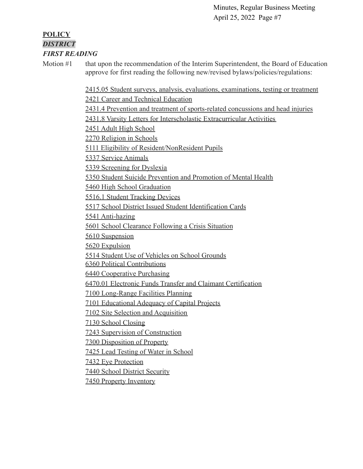# **POLICY** *DISTRICT FIRST READING*

Motion #1 that upon the recommendation of the Interim Superintendent, the Board of Education approve for first reading the following new/revised bylaws/policies/regulations:

[2415.05 Student surveys, analysis, evaluations, examinations, testing or treatment](https://docs.google.com/document/d/137gn3lVGXJeBsykUxIKXI6Z0CvRW0qoO/edit?usp=sharing&ouid=116999334560462810204&rtpof=true&sd=true)

[2421 Career and Technical Education](https://drive.google.com/file/d/10QZY2hlljX5P96LrBwVkmtP5UmS3uGeO/view?usp=sharing)

[2431.4 Prevention and treatment of sports-related concussions and head injuries](https://docs.google.com/document/d/1hnAutvBWPFqH3BDfYrmtHGgwxqp0C5ID/edit?usp=sharing&ouid=116999334560462810204&rtpof=true&sd=true)

[2431.8 Varsity Letters for Interscholastic Extracurricular Activities](https://drive.google.com/file/d/1nLnHppj7X_5WbBiR6dkekrthXKXkYG97/view?usp=sharing)

[2451 Adult High School](https://docs.google.com/document/d/1w1RHZjosXzmTC3wl9Ny76GPcIqKpG9iy/edit?usp=sharing&ouid=116999334560462810204&rtpof=true&sd=true)

[2270 Religion in Schools](https://drive.google.com/file/d/1EF4w2YPIM6u8ExnK-Vn80b14zpDd4M7k/view?usp=sharing)

[5111 Eligibility of Resident/NonResident Pupils](https://drive.google.com/file/d/11489mlO9FSx8TGTrJd5_eMjcIpKe1xCl/view?usp=sharing)

[5337 Service Animals](https://drive.google.com/file/d/1icbbOS2TnCg0NAg_aCOTRAz0HvM_t9CH/view?usp=sharing)

[5339 Screening for Dyslexia](https://drive.google.com/file/d/1BZRuF2yhDC3rm8iO96SHbUqYTIlkWOUb/view?usp=sharing)

[5350 Student Suicide Prevention and Promotion of Mental Health](https://docs.google.com/document/d/1aIW0DOF_7SICrgv41iWgagS0O1lumj-n/edit?usp=sharing&ouid=116999334560462810204&rtpof=true&sd=true)

[5460 High School Graduation](https://drive.google.com/file/d/1CC8jARyFXTJT8hAQajYNohcTAyasl9k2/view?usp=sharing)

[5516.1 Student Tracking Devices](https://drive.google.com/file/d/1kuD49RSaBi1M8CcXWWQsSneXYjaZjoAY/view?usp=sharing)

[5517 School District Issued Student Identification Cards](https://drive.google.com/file/d/1DjLtssvVAVP46H7cGf4JcfmbKdAFhIvD/view?usp=sharing)

[5541 Anti-hazing](https://drive.google.com/file/d/1mRNrU5tuqzqgTLTxqgN7OkWPNjXB_mRN/view?usp=sharing)

[5601 School Clearance Following a Crisis Situation](https://drive.google.com/file/d/1ess1zh0K_P_TRDTbYPzBAP1JEWchgRnX/view?usp=sharing)

[5610 Suspension](https://drive.google.com/file/d/1nGebrIJm3X_GQKDAf_sAz6m9zKvCFJsv/view?usp=sharing)

[5620 Expulsion](https://drive.google.com/file/d/17dEGZqBq3QNiKyPQluebZgD8O9cDrI2b/view?usp=sharing)

[5514 Student Use of Vehicles on School Grounds](https://drive.google.com/file/d/1rzB1nDh4nowsY5bU4lTg55MXntXj7rDu/view?usp=sharing)

[6360 Political Contributions](https://drive.google.com/file/d/15TyRUSWqTc8oyxGFTj3z9dGmMMTYFhKU/view?usp=sharing)

[6440 Cooperative Purchasing](https://drive.google.com/file/d/1CePq51sKdQblPniv6qFnurbLKkJEWp0t/view?usp=sharing)

[6470.01 Electronic Funds Transfer and Claimant Certification](https://drive.google.com/file/d/1b2pWaslzty9-rT7k8GkVrBYqo24WDAvD/view?usp=sharing)

[7100 Long-Range Facilities Planning](https://drive.google.com/file/d/1ikgOYg87ObPrVGn9cQ13v2Kg4Mf2QxNj/view?usp=sharing)

[7101 Educational Adequacy of Capital Projects](https://drive.google.com/file/d/1p_tavn4i-MaTwNGGNC-dfLHK8mgotMhF/view?usp=sharing)

[7102 Site Selection and Acquisition](https://drive.google.com/file/d/1kZG7PSGSYC-z4a3sbKwd6byiQIZa4_MS/view?usp=sharing)

[7130 School Closing](https://drive.google.com/file/d/1qpcD3ILVzGn9oZBbZsiHBeK7WDkVDWe6/view?usp=sharing)

[7243 Supervision of Construction](https://drive.google.com/file/d/1l1P9LrREjQUhfaxCzPTmlEbStDh9Gep8/view?usp=sharing)

[7300 Disposition of Property](https://drive.google.com/file/d/1t74jkrjbaenV31PpBPu5azqCOhlUZj__/view?usp=sharing)

[7425 Lead Testing of Water in School](https://drive.google.com/file/d/1y7fK_I41bJ-wfXW3xM0mXMt53559naXZ/view?usp=sharing)

[7432 Eye Protection](https://drive.google.com/file/d/1sr17OBd90kJxXKeLV_5igzveIaXJL0Fi/view?usp=sharing)

[7440 School District Security](https://drive.google.com/file/d/1BEiqbDTmTiJOVPfFapOgecPPEYevscJX/view?usp=sharing)

[7450 Property Inventory](https://drive.google.com/file/d/1tTPpeVJvNFQAgOce3VsBwnbvioW77dRg/view?usp=sharing)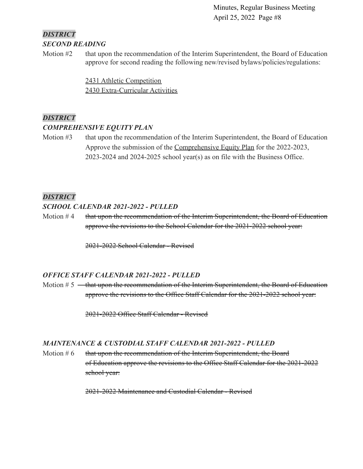# *DISTRICT SECOND READING*

Motion #2 that upon the recommendation of the Interim Superintendent, the Board of Education approve for second reading the following new/revised bylaws/policies/regulations:

> [2431 Athletic Competition](https://drive.google.com/file/d/1LmOawvT-oRI4H_1IKEaBG97W3ykBFQuA/view?usp=sharing) [2430 Extra-Curricular Activities](https://drive.google.com/file/d/13HJ7AHkN9EqYbHJa7gwzJQLY1GN56-2e/view?usp=sharing)

# *DISTRICT*

#### *COMPREHENSIVE EQUITY PLAN*

Motion #3 that upon the recommendation of the Interim Superintendent, the Board of Education Approve the submission of the [Comprehensive Equity](https://drive.google.com/file/d/1sIFjTrk90C5X_6Z1v__A3T2vN7mjj2c9/view?usp=sharing) Plan for the 2022-2023, 2023-2024 and 2024-2025 school year(s) as on file with the Business Office.

# *DISTRICT*

#### *SCHOOL CALENDAR 2021-2022 - PULLED*

Motion  $#4$  that upon the recommendation of the Interim Superintendent, the Board of Education approve the revisions to the School Calendar for the 2021-2022 school year:

2021-2022 School Calendar - Revised

# *OFFICE STAFF CALENDAR 2021-2022 - PULLED*

Motion  $# 5$   $\longrightarrow$  that upon the recommendation of the Interim Superintendent, the Board of Education approve the revisions to the Office Staff Calendar for the 2021-2022 school year:

2021-2022 Office Staff Calendar - Revised

# *MAINTENANCE & CUSTODIAL STAFF CALENDAR 2021-2022 - PULLED*

Motion  $# 6$  that upon the recommendation of the Interim Superintendent, the Board of Education approve the revisions to the Office Staff Calendar for the 2021-2022 school year:

2021-2022 Maintenance and Custodial Calendar - Revised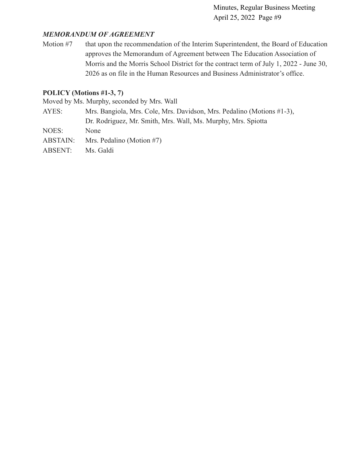#### *MEMORANDUM OF AGREEMENT*

Motion #7 that upon the recommendation of the Interim Superintendent, the Board of Education approves the Memorandum of Agreement between The Education Association of Morris and the Morris School District for the contract term of July 1, 2022 - June 30, 2026 as on file in the Human Resources and Business Administrator's office.

#### **POLICY (Motions #1-3, 7)**

Moved by Ms. Murphy, seconded by Mrs. Wall

- AYES: Mrs. Bangiola, Mrs. Cole, Mrs. Davidson, Mrs. Pedalino (Motions #1-3), Dr. Rodriguez, Mr. Smith, Mrs. Wall, Ms. Murphy, Mrs. Spiotta
- NOES: None

ABSTAIN: Mrs. Pedalino (Motion #7)

ABSENT: Ms. Galdi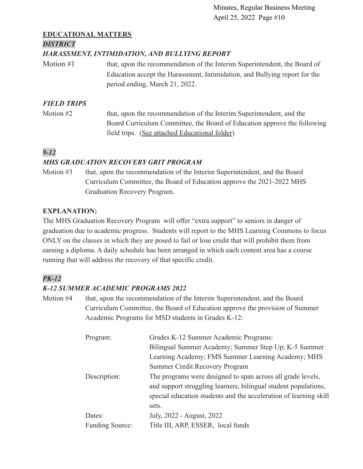# **EDUCATIONAL MATTERS**

#### *DISTRICT*

#### *HARASSMENT, INTIMIDATION, AND BULLYING REPORT*

Motion #1 that, upon the recommendation of the Interim Superintendent, the Board of Education accept the Harassment, Intimidation, and Bullying report for the period ending, March 21, 2022.

# *FIELD TRIPS*

Motion #2 that, upon the recommendation of the Interim Superintendent, and the Board Curriculum Committee, the Board of Education approve the following field trips. [\(See attached Educational folder\)](https://drive.google.com/file/d/181cgp9dyx9G2qPBP5IAtgtQAEc0n5y2z/view?usp=sharing)

# *9-12*

# *MHS GRADUATION RECOVERY GRIT PROGRAM*

Motion #3 that, upon the recommendation of the Interim Superintendent, and the Board Curriculum Committee, the Board of Education approve the 2021-2022 MHS Graduation Recovery Program.

# **EXPLANATION:**

The MHS Graduation Recovery Program will offer "extra support" to seniors in danger of graduation due to academic progress. Students will report to the MHS Learning Commons to focus ONLY on the classes in which they are posed to fail or lose credit that will prohibit them from earning a diploma. A daily schedule has been arranged in which each content area has a course running that will address the recovery of that specific credit.

# *PK-12*

# *K-12 SUMMER ACADEMIC PROGRAMS 2022*

Motion #4 that, upon the recommendation of the Interim Superintendent, and the Board Curriculum Committee, the Board of Education approve the provision of Summer Academic Programs for MSD students in Grades K-12:

| Program:               | Grades K-12 Summer Academic Programs:                             |  |  |
|------------------------|-------------------------------------------------------------------|--|--|
|                        | Bilingual Summer Academy; Summer Step Up; K-5 Summer              |  |  |
|                        | Learning Academy; FMS Summer Learning Academy; MHS                |  |  |
|                        | Summer Credit Recovery Program                                    |  |  |
| Description:           | The programs were designed to span across all grade levels,       |  |  |
|                        | and support struggling learners, bilingual student populations,   |  |  |
|                        | special education students and the acceleration of learning skill |  |  |
|                        | sets.                                                             |  |  |
| Dates:                 | July, 2022 - August, 2022                                         |  |  |
| <b>Funding Source:</b> | Title III, ARP, ESSER, local funds                                |  |  |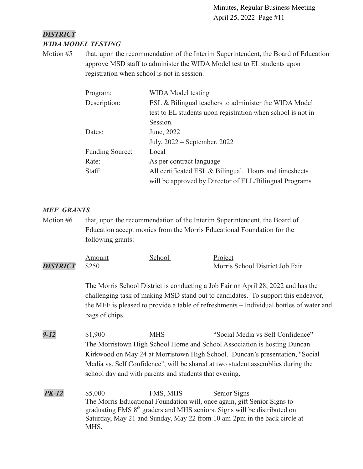# *DISTRICT WIDA MODEL TESTING*

Motion #5 that, upon the recommendation of the Interim Superintendent, the Board of Education approve MSD staff to administer the WIDA Model test to EL students upon registration when school is not in session.

| Program:        | WIDA Model testing                                          |
|-----------------|-------------------------------------------------------------|
| Description:    | ESL & Bilingual teachers to administer the WIDA Model       |
|                 | test to EL students upon registration when school is not in |
|                 | Session.                                                    |
| Dates:          | June, 2022                                                  |
|                 | July, $2022$ – September, 2022                              |
| Funding Source: | Local                                                       |
| Rate:           | As per contract language                                    |
| Staff:          | All certificated ESL & Bilingual. Hours and timesheets      |
|                 | will be approved by Director of ELL/Bilingual Programs      |

#### *MEF GRANTS*

Motion #6 that, upon the recommendation of the Interim Superintendent, the Board of Education accept monies from the Morris Educational Foundation for the following grants:

|                       | Amount | School | Project                         |
|-----------------------|--------|--------|---------------------------------|
| <b>DISTRICT</b> \$250 |        |        | Morris School District Job Fair |

The Morris School District is conducting a Job Fair on April 28, 2022 and has the challenging task of making MSD stand out to candidates. To support this endeavor, the MEF is pleased to provide a table of refreshments – Individual bottles of water and bags of chips.

- *9-12* \$1,900 MHS "Social Media vs Self Confidence" The Morristown High School Home and School Association is hosting Duncan Kirkwood on May 24 at Morristown High School. Duncan's presentation, "Social Media vs. Self Confidence", will be shared at two student assemblies during the school day and with parents and students that evening.
- **PK-12** \$5,000 FMS, MHS Senior Signs The Morris Educational Foundation will, once again, gift Senior Signs to graduating FMS 8<sup>th</sup> graders and MHS seniors. Signs will be distributed on Saturday, May 21 and Sunday, May 22 from 10 am-2pm in the back circle at MHS.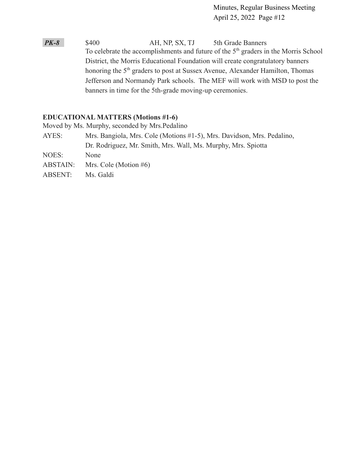*PK-8* \$400 AH, NP, SX, TJ 5th Grade Banners To celebrate the accomplishments and future of the 5<sup>th</sup> graders in the Morris School District, the Morris Educational Foundation will create congratulatory banners honoring the 5<sup>th</sup> graders to post at Sussex Avenue, Alexander Hamilton, Thomas Jefferson and Normandy Park schools. The MEF will work with MSD to post the banners in time for the 5th-grade moving-up ceremonies.

#### **EDUCATIONAL MATTERS (Motions #1-6)**

Moved by Ms. Murphy, seconded by Mrs.Pedalino

AYES: Mrs. Bangiola, Mrs. Cole (Motions #1-5), Mrs. Davidson, Mrs. Pedalino, Dr. Rodriguez, Mr. Smith, Mrs. Wall, Ms. Murphy, Mrs. Spiotta

NOES: None

- ABSTAIN: Mrs. Cole (Motion #6)
- ABSENT: Ms. Galdi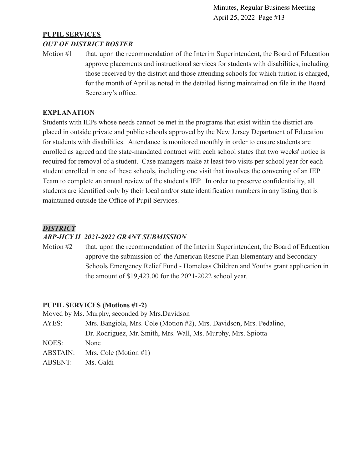# **PUPIL SERVICES**

#### *OUT OF DISTRICT ROSTER*

Motion #1 that, upon the recommendation of the Interim Superintendent, the Board of Education approve placements and instructional services for students with disabilities, including those received by the district and those attending schools for which tuition is charged, for the month of April as noted in the detailed listing maintained on file in the Board Secretary's office.

#### **EXPLANATION**

Students with IEPs whose needs cannot be met in the programs that exist within the district are placed in outside private and public schools approved by the New Jersey Department of Education for students with disabilities. Attendance is monitored monthly in order to ensure students are enrolled as agreed and the state-mandated contract with each school states that two weeks' notice is required for removal of a student. Case managers make at least two visits per school year for each student enrolled in one of these schools, including one visit that involves the convening of an IEP Team to complete an annual review of the student's IEP. In order to preserve confidentiality, all students are identified only by their local and/or state identification numbers in any listing that is maintained outside the Office of Pupil Services.

#### *DISTRICT*

#### *ARP-HCY II 2021-2022 GRANT SUBMISSION*

Motion #2 that, upon the recommendation of the Interim Superintendent, the Board of Education approve the submission of the American Rescue Plan Elementary and Secondary Schools Emergency Relief Fund - Homeless Children and Youths grant application in the amount of \$19,423.00 for the 2021-2022 school year.

#### **PUPIL SERVICES (Motions #1-2)**

Moved by Ms. Murphy, seconded by Mrs.Davidson

AYES: Mrs. Bangiola, Mrs. Cole (Motion #2), Mrs. Davidson, Mrs. Pedalino, Dr. Rodriguez, Mr. Smith, Mrs. Wall, Ms. Murphy, Mrs. Spiotta NOES: None ABSTAIN: Mrs. Cole (Motion #1) ABSENT: Ms. Galdi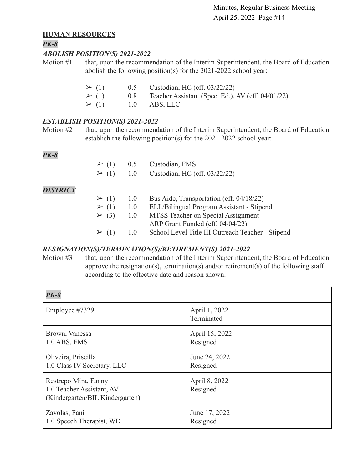#### **HUMAN RESOURCES**

#### *PK-8*

#### *ABOLISH POSITION(S) 2021-2022*

Motion #1 that, upon the recommendation of the Interim Superintendent, the Board of Education abolish the following position(s) for the 2021-2022 school year:

| $\geq (1)$ | 0.5 | Custodian, HC (eff. $03/22/22$ )                  |
|------------|-----|---------------------------------------------------|
| $\geq (1)$ | 0.8 | Teacher Assistant (Spec. Ed.), AV (eff. 04/01/22) |
| $\geq (1)$ |     | $1.0$ ABS, LLC                                    |

# *ESTABLISH POSITION(S) 2021-2022*

Motion #2 that, upon the recommendation of the Interim Superintendent, the Board of Education establish the following position(s) for the 2021-2022 school year:

# *PK-8*

*DISTRICT*

|            |            | $\geq$ (1) 0.5 Custodian, FMS<br>$\geq$ (1) 1.0 Custodian, HC (eff. 03/22/22)                                    |
|------------|------------|------------------------------------------------------------------------------------------------------------------|
| $\sim$ (1) | $1 \Omega$ | $\geq$ (1) 1.0 Bus Aide, Transportation (eff. 04/18/22)<br>$\Gamma$ $\Gamma$ /Dilineural Dragram Assistant Sting |

| $\geq (1)$ | 1.0 | ELL/Bilingual Program Assistant - Stipend |
|------------|-----|-------------------------------------------|
| $\geq (3)$ | 1.0 | MTSS Teacher on Special Assignment -      |
|            |     | ARP Grant Funded (eff. 04/04/22)          |

 $\geq$  (1) 1.0 School Level Title III Outreach Teacher - Stipend

# *RESIGNATION(S)/TERMINATION(S)/RETIREMENT(S) 2021-2022*

Motion #3 that, upon the recommendation of the Interim Superintendent, the Board of Education approve the resignation(s), termination(s) and/or retirement(s) of the following staff according to the effective date and reason shown:

| $PK-8$                                                                               |                             |
|--------------------------------------------------------------------------------------|-----------------------------|
| Employee #7329                                                                       | April 1, 2022<br>Terminated |
| Brown, Vanessa                                                                       | April 15, 2022              |
| 1.0 ABS, FMS                                                                         | Resigned                    |
| Oliveira, Priscilla                                                                  | June 24, 2022               |
| 1.0 Class IV Secretary, LLC                                                          | Resigned                    |
| Restrepo Mira, Fanny<br>1.0 Teacher Assistant, AV<br>(Kindergarten/BIL Kindergarten) | April 8, 2022<br>Resigned   |
| Zavolas, Fani                                                                        | June 17, 2022               |
| 1.0 Speech Therapist, WD                                                             | Resigned                    |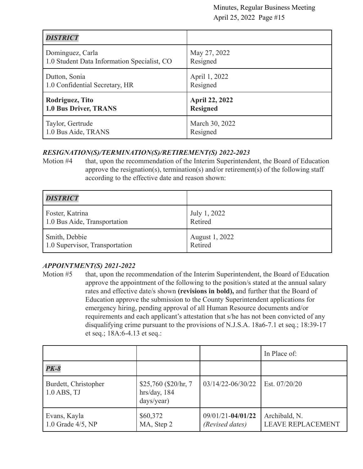| <b>DISTRICT</b>                             |                       |
|---------------------------------------------|-----------------------|
| Dominguez, Carla                            | May 27, 2022          |
| 1.0 Student Data Information Specialist, CO | Resigned              |
| Dutton, Sonia                               | April 1, 2022         |
| 1.0 Confidential Secretary, HR              | Resigned              |
| Rodriguez, Tito                             | <b>April 22, 2022</b> |
| 1.0 Bus Driver, TRANS                       | <b>Resigned</b>       |
| Taylor, Gertrude                            | March 30, 2022        |
| 1.0 Bus Aide, TRANS                         | Resigned              |

#### *RESIGNATION(S)/TERMINATION(S)/RETIREMENT(S) 2022-2023*

Motion #4 that, upon the recommendation of the Interim Superintendent, the Board of Education approve the resignation(s), termination(s) and/or retirement(s) of the following staff according to the effective date and reason shown:

| <b>DISTRICT</b>                |                |
|--------------------------------|----------------|
| Foster, Katrina                | July 1, 2022   |
| 1.0 Bus Aide, Transportation   | Retired        |
| Smith, Debbie                  | August 1, 2022 |
| 1.0 Supervisor, Transportation | Retired        |

# *APPOINTMENT(S) 2021-2022*

Motion #5 that, upon the recommendation of the Interim Superintendent, the Board of Education approve the appointment of the following to the position/s stated at the annual salary rates and effective date/s shown **(revisions in bold),** and further that the Board of Education approve the submission to the County Superintendent applications for emergency hiring, pending approval of all Human Resource documents and/or requirements and each applicant's attestation that s/he has not been convicted of any disqualifying crime pursuant to the provisions of N.J.S.A. 18a6-7.1 et seq.; 18:39-17 et seq.; 18A:6-4.13 et seq.:

|                                       |                                                     |                                          | In Place of:                              |
|---------------------------------------|-----------------------------------------------------|------------------------------------------|-------------------------------------------|
| $PK-8$                                |                                                     |                                          |                                           |
| Burdett, Christopher<br>$1.0$ ABS, TJ | \$25,760 (\$20/hr, 7)<br>hrs/day, 184<br>days/year) | $03/14/22 - 06/30/22$                    | Est. 07/20/20                             |
| Evans, Kayla<br>1.0 Grade $4/5$ , NP  | \$60,372<br>MA, Step 2                              | $09/01/21 - 04/01/22$<br>(Revised dates) | Archibald, N.<br><b>LEAVE REPLACEMENT</b> |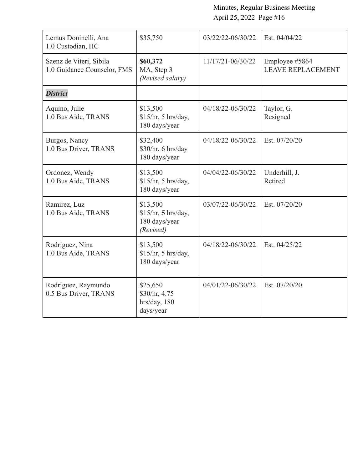| Lemus Doninelli, Ana<br>1.0 Custodian, HC              | \$35,750                                                      | 03/22/22-06/30/22     | Est. 04/04/22                              |
|--------------------------------------------------------|---------------------------------------------------------------|-----------------------|--------------------------------------------|
| Saenz de Viteri, Sibila<br>1.0 Guidance Counselor, FMS | \$60,372<br>MA, Step 3<br>(Revised salary)                    | $11/17/21 - 06/30/22$ | Employee #5864<br><b>LEAVE REPLACEMENT</b> |
| <b>District</b>                                        |                                                               |                       |                                            |
| Aquino, Julie<br>1.0 Bus Aide, TRANS                   | \$13,500<br>\$15/hr, 5 hrs/day,<br>180 days/year              | 04/18/22-06/30/22     | Taylor, G.<br>Resigned                     |
| Burgos, Nancy<br>1.0 Bus Driver, TRANS                 | \$32,400<br>\$30/hr, 6 hrs/day<br>180 days/year               | 04/18/22-06/30/22     | Est. 07/20/20                              |
| Ordonez, Wendy<br>1.0 Bus Aide, TRANS                  | \$13,500<br>\$15/hr, 5 hrs/day,<br>180 days/year              | 04/04/22-06/30/22     | Underhill, J.<br>Retired                   |
| Ramirez, Luz<br>1.0 Bus Aide, TRANS                    | \$13,500<br>\$15/hr, 5 hrs/day,<br>180 days/year<br>(Revised) | 03/07/22-06/30/22     | Est. 07/20/20                              |
| Rodriguez, Nina<br>1.0 Bus Aide, TRANS                 | \$13,500<br>\$15/hr, 5 hrs/day,<br>180 days/year              | 04/18/22-06/30/22     | Est. 04/25/22                              |
| Rodriguez, Raymundo<br>0.5 Bus Driver, TRANS           | \$25,650<br>\$30/hr, 4.75<br>hrs/day, 180<br>days/year        | 04/01/22-06/30/22     | Est. 07/20/20                              |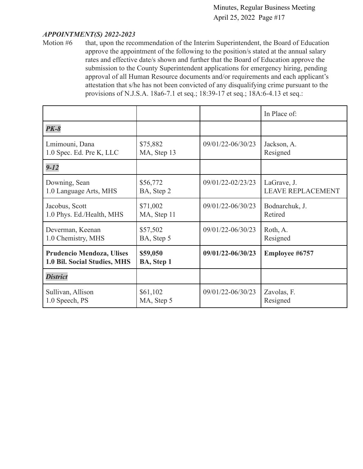#### *APPOINTMENT(S) 2022-2023*

Motion #6 that, upon the recommendation of the Interim Superintendent, the Board of Education approve the appointment of the following to the position/s stated at the annual salary rates and effective date/s shown and further that the Board of Education approve the submission to the County Superintendent applications for emergency hiring, pending approval of all Human Resource documents and/or requirements and each applicant's attestation that s/he has not been convicted of any disqualifying crime pursuant to the provisions of N.J.S.A. 18a6-7.1 et seq.; 18:39-17 et seq.; 18A:6-4.13 et seq.:

|                                                                  |                        |                   | In Place of:             |
|------------------------------------------------------------------|------------------------|-------------------|--------------------------|
| $PK-8$                                                           |                        |                   |                          |
| Lmimouni, Dana                                                   | \$75,882               | 09/01/22-06/30/23 | Jackson, A.              |
| 1.0 Spec. Ed. Pre K, LLC                                         | MA, Step 13            |                   | Resigned                 |
| $9 - 12$                                                         |                        |                   |                          |
| Downing, Sean                                                    | \$56,772               | 09/01/22-02/23/23 | LaGrave, J.              |
| 1.0 Language Arts, MHS                                           | BA, Step 2             |                   | <b>LEAVE REPLACEMENT</b> |
| Jacobus, Scott                                                   | \$71,002               | 09/01/22-06/30/23 | Bodnarchuk, J.           |
| 1.0 Phys. Ed./Health, MHS                                        | MA, Step 11            |                   | Retired                  |
| Deverman, Keenan                                                 | \$57,502               | 09/01/22-06/30/23 | Roth, A.                 |
| 1.0 Chemistry, MHS                                               | BA, Step 5             |                   | Resigned                 |
| <b>Prudencio Mendoza, Ulises</b><br>1.0 Bil. Social Studies, MHS | \$59,050<br>BA, Step 1 | 09/01/22-06/30/23 | <b>Employee #6757</b>    |
| <b>District</b>                                                  |                        |                   |                          |
| Sullivan, Allison                                                | \$61,102               | 09/01/22-06/30/23 | Zavolas, F.              |
| 1.0 Speech, PS                                                   | MA, Step 5             |                   | Resigned                 |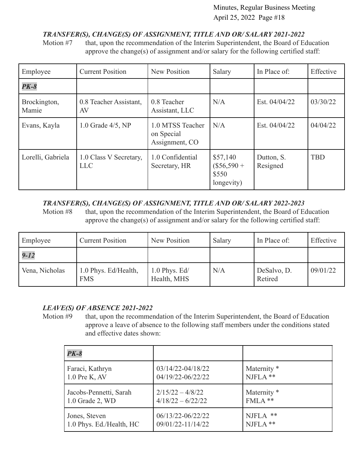# *TRANSFER(S), CHANGE(S) OF ASSIGNMENT, TITLE AND OR/ SALARY 2021-2022*

Motion #7 that, upon the recommendation of the Interim Superintendent, the Board of Education approve the change(s) of assignment and/or salary for the following certified staff:

| Employee              | <b>Current Position</b>              | New Position                                     | Salary                                           | In Place of:           | Effective  |
|-----------------------|--------------------------------------|--------------------------------------------------|--------------------------------------------------|------------------------|------------|
| $PK-8$                |                                      |                                                  |                                                  |                        |            |
| Brockington,<br>Mamie | 0.8 Teacher Assistant,<br>AV         | 0.8 Teacher<br>Assistant, LLC                    | N/A                                              | Est. 04/04/22          | 03/30/22   |
| Evans, Kayla          | 1.0 Grade $4/5$ , NP                 | 1.0 MTSS Teacher<br>on Special<br>Assignment, CO | N/A                                              | Est. 04/04/22          | 04/04/22   |
| Lorelli, Gabriela     | 1.0 Class V Secretary,<br><b>LLC</b> | 1.0 Confidential<br>Secretary, HR                | \$57,140<br>$(\$56,590 +$<br>\$550<br>longevity) | Dutton, S.<br>Resigned | <b>TBD</b> |

# *TRANSFER(S), CHANGE(S) OF ASSIGNMENT, TITLE AND OR/ SALARY 2022-2023*

Motion #8 that, upon the recommendation of the Interim Superintendent, the Board of Education approve the change(s) of assignment and/or salary for the following certified staff:

| Employee       | <b>Current Position</b>            | New Position                   | Salary | In Place of:           | Effective |
|----------------|------------------------------------|--------------------------------|--------|------------------------|-----------|
| $9 - 12$       |                                    |                                |        |                        |           |
| Vena, Nicholas | 1.0 Phys. Ed/Health,<br><b>FMS</b> | $1.0$ Phys. Ed/<br>Health, MHS | N/A    | DeSalvo, D.<br>Retired | 09/01/22  |

# *LEAVE(S) OF ABSENCE 2021-2022*

Motion #9 that, upon the recommendation of the Interim Superintendent, the Board of Education approve a leave of absence to the following staff members under the conditions stated and effective dates shown:

| $PK-8$                   |                     |                        |
|--------------------------|---------------------|------------------------|
| Faraci, Kathryn          | 03/14/22-04/18/22   | Maternity <sup>*</sup> |
| $1.0$ Pre K, AV          | 04/19/22-06/22/22   | NJFLA **               |
| Jacobs-Pennetti, Sarah   | $2/15/22 - 4/8/22$  | Maternity <sup>*</sup> |
| 1.0 Grade 2, WD          | $4/18/22 - 6/22/22$ | FMLA **                |
| Jones, Steven            | 06/13/22-06/22/22   | NJFLA **               |
| 1.0 Phys. Ed./Health, HC | 09/01/22-11/14/22   | NJFLA **               |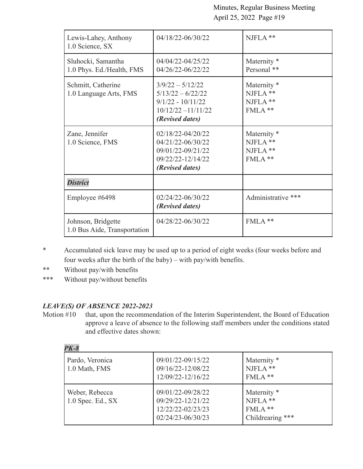| Lewis-Lahey, Anthony<br>1.0 Science, SX            | 04/18/22-06/30/22                                                                                            | NJFLA **                                                      |
|----------------------------------------------------|--------------------------------------------------------------------------------------------------------------|---------------------------------------------------------------|
| Sluhocki, Samantha<br>1.0 Phys. Ed./Health, FMS    | 04/04/22-04/25/22<br>04/26/22-06/22/22                                                                       | Maternity <sup>*</sup><br>Personal **                         |
| Schmitt, Catherine<br>1.0 Language Arts, FMS       | $3/9/22 - 5/12/22$<br>$5/13/22 - 6/22/22$<br>$9/1/22 - 10/11/22$<br>$10/12/22 - 11/11/22$<br>(Revised dates) | Maternity <sup>*</sup><br>$NIFLA$ **<br>$NIFLA$ **<br>FMLA**  |
| Zane, Jennifer<br>1.0 Science, FMS                 | $02/18/22 - 04/20/22$<br>04/21/22-06/30/22<br>09/01/22-09/21/22<br>09/22/22-12/14/22<br>(Revised dates)      | Maternity <sup>*</sup><br>$NIFLA$ **<br>NJFLA **<br>$FMLA$ ** |
| <b>District</b>                                    |                                                                                                              |                                                               |
| Employee #6498                                     | $02/24/22 - 06/30/22$<br>(Revised dates)                                                                     | Administrative ***                                            |
| Johnson, Bridgette<br>1.0 Bus Aide, Transportation | 04/28/22-06/30/22                                                                                            | FMLA **                                                       |

- \* Accumulated sick leave may be used up to a period of eight weeks (four weeks before and four weeks after the birth of the baby) – with pay/with benefits.
- \*\* Without pay/with benefits
- \*\*\* Without pay/without benefits

# *LEAVE(S) OF ABSENCE 2022-2023*

Motion #10 that, upon the recommendation of the Interim Superintendent, the Board of Education approve a leave of absence to the following staff members under the conditions stated and effective dates shown:

| $PK-8$                                |                                                                                  |                                                                     |
|---------------------------------------|----------------------------------------------------------------------------------|---------------------------------------------------------------------|
| Pardo, Veronica<br>1.0 Math, FMS      | 09/01/22-09/15/22<br>09/16/22-12/08/22<br>12/09/22-12/16/22                      | Maternity <sup>*</sup><br>NJFLA **<br>$FMLA$ **                     |
| Weber, Rebecca<br>$1.0$ Spec. Ed., SX | 09/01/22-09/28/22<br>09/29/22-12/21/22<br>12/22/22-02/23/23<br>02/24/23-06/30/23 | Maternity <sup>*</sup><br>NJFLA **<br>$FMLA$ **<br>Childrearing *** |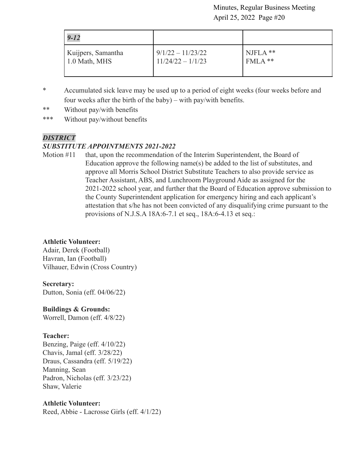| $9 - 12$           |                     |            |
|--------------------|---------------------|------------|
| Kuijpers, Samantha | $9/1/22 - 11/23/22$ | $NIFLA$ ** |
| 1.0 Math, MHS      | $11/24/22 - 1/1/23$ | $FMLA$ **  |

- \* Accumulated sick leave may be used up to a period of eight weeks (four weeks before and four weeks after the birth of the baby) – with pay/with benefits.
- \*\* Without pay/with benefits
- \*\*\* Without pay/without benefits

# *DISTRICT*

#### *SUBSTITUTE APPOINTMENTS 2021-2022*

Motion #11 that, upon the recommendation of the Interim Superintendent, the Board of Education approve the following name(s) be added to the list of substitutes, and approve all Morris School District Substitute Teachers to also provide service as Teacher Assistant, ABS, and Lunchroom Playground Aide as assigned for the 2021-2022 school year, and further that the Board of Education approve submission to the County Superintendent application for emergency hiring and each applicant's attestation that s/he has not been convicted of any disqualifying crime pursuant to the provisions of N.J.S.A 18A:6-7.1 et seq., 18A:6-4.13 et seq.:

# **Athletic Volunteer:**

Adair, Derek (Football) Havran, Ian (Football) Vilhauer, Edwin (Cross Country)

#### **Secretary:**

Dutton, Sonia (eff. 04/06/22)

**Buildings & Grounds:**

Worrell, Damon (eff. 4/8/22)

#### **Teacher:**

Benzing, Paige (eff. 4/10/22) Chavis, Jamal (eff. 3/28/22) Draus, Cassandra (eff. 5/19/22) Manning, Sean Padron, Nicholas (eff. 3/23/22) Shaw, Valerie

# **Athletic Volunteer:**

Reed, Abbie - Lacrosse Girls (eff. 4/1/22)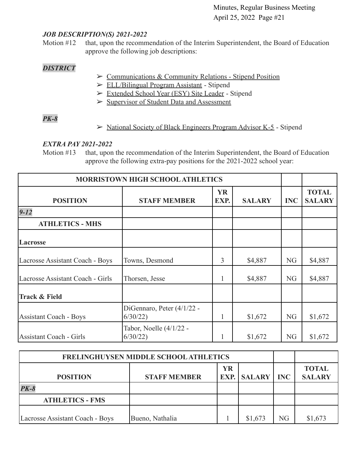#### *JOB DESCRIPTION(S) 2021-2022*

Motion #12 that, upon the recommendation of the Interim Superintendent, the Board of Education approve the following job descriptions:

#### *DISTRICT*

- ➢ [Communications & Community Relations Stipend Position](https://drive.google.com/file/d/1ftC7GdzYHcMx3nHBf09orgGNDMFM4a22/view?usp=sharing)
- ➢ [ELL/Bilingual Program Assistant](https://drive.google.com/file/d/1VMVxBBeYkwJ6YX16dFBYQJl1taTpGIED/view?usp=sharing) Stipend
- ➢ [Extended School Year \(ESY\) Site Leader](https://drive.google.com/file/d/19x4OOk8mV2tHgD0TzltuJI4u8zuH_tR6/view?usp=sharing) Stipend
- ➢ [Supervisor of Student Data and Assessment](https://drive.google.com/file/d/1FMXKv0lsLbgsccSCY4sL_BZ0ZcMXFiUQ/view?usp=sharing)

# *PK-8*

 $\triangleright$  [National Society of Black Engineers Program Advisor K-5](https://drive.google.com/file/d/1AU4FINLj9qf80Jv1o03i7E-S3t33cZME/view?usp=sharing) - Stipend

#### *EXTRA PAY 2021-2022*

Motion #13 that, upon the recommendation of the Interim Superintendent, the Board of Education approve the following extra-pay positions for the 2021-2022 school year:

| <b>MORRISTOWN HIGH SCHOOL ATHLETICS</b> |                                         |                   |               |            |                               |
|-----------------------------------------|-----------------------------------------|-------------------|---------------|------------|-------------------------------|
| <b>POSITION</b>                         | <b>STAFF MEMBER</b>                     | <b>YR</b><br>EXP. | <b>SALARY</b> | <b>INC</b> | <b>TOTAL</b><br><b>SALARY</b> |
| $9 - 12$                                |                                         |                   |               |            |                               |
| <b>ATHLETICS - MHS</b>                  |                                         |                   |               |            |                               |
| Lacrosse                                |                                         |                   |               |            |                               |
| Lacrosse Assistant Coach - Boys         | Towns, Desmond                          | 3                 | \$4,887       | NG         | \$4,887                       |
| Lacrosse Assistant Coach - Girls        | Thorsen, Jesse                          |                   | \$4,887       | NG         | \$4,887                       |
| <b>Track &amp; Field</b>                |                                         |                   |               |            |                               |
| <b>Assistant Coach - Boys</b>           | DiGennaro, Peter $(4/1/22 -$<br>6/30/22 |                   | \$1,672       | <b>NG</b>  | \$1,672                       |
| <b>Assistant Coach - Girls</b>          | Tabor, Noelle (4/1/22 -<br>6/30/22      |                   | \$1,672       | <b>NG</b>  | \$1,672                       |

| <b>FRELINGHUYSEN MIDDLE SCHOOL ATHLETICS</b> |                       |                               |  |  |  |
|----------------------------------------------|-----------------------|-------------------------------|--|--|--|
| <b>POSITION</b>                              | <b>EXP.</b> SALARY NC | <b>TOTAL</b><br><b>SALARY</b> |  |  |  |
| $PK-8$                                       |                       |                               |  |  |  |
| <b>ATHLETICS - FMS</b>                       |                       |                               |  |  |  |
| Lacrosse Assistant Coach - Boys              | NG                    | \$1,673                       |  |  |  |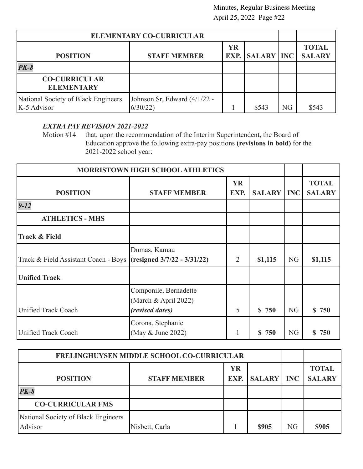| <b>ELEMENTARY CO-CURRICULAR</b>                      |                                         |                               |       |    |       |
|------------------------------------------------------|-----------------------------------------|-------------------------------|-------|----|-------|
| <b>POSITION</b>                                      | <b>EXP.</b> SALARY NC                   | <b>TOTAL</b><br><b>SALARY</b> |       |    |       |
| $PK-8$                                               |                                         |                               |       |    |       |
| <b>CO-CURRICULAR</b><br><b>ELEMENTARY</b>            |                                         |                               |       |    |       |
| National Society of Black Engineers<br>$K-5$ Advisor | Johnson Sr, Edward (4/1/22 -<br>6/30/22 |                               | \$543 | NG | \$543 |

# *EXTRA PAY REVISION 2021-2022*

Motion #14 that, upon the recommendation of the Interim Superintendent, the Board of Education approve the following extra-pay positions **(revisions in bold)** for the 2021-2022 school year:

| <b>MORRISTOWN HIGH SCHOOL ATHLETICS</b>                          |                                                                         |                   |                    |           |                               |
|------------------------------------------------------------------|-------------------------------------------------------------------------|-------------------|--------------------|-----------|-------------------------------|
| <b>POSITION</b>                                                  | <b>STAFF MEMBER</b>                                                     | <b>YR</b><br>EXP. | <b>SALARY INC</b>  |           | <b>TOTAL</b><br><b>SALARY</b> |
| $9 - 12$                                                         |                                                                         |                   |                    |           |                               |
| <b>ATHLETICS - MHS</b>                                           |                                                                         |                   |                    |           |                               |
| <b>Track &amp; Field</b>                                         |                                                                         |                   |                    |           |                               |
| Track & Field Assistant Coach - Boys (resigned 3/7/22 - 3/31/22) | Dumas, Kamau                                                            | $\overline{2}$    | \$1,115            | NG        | \$1,115                       |
| <b>Unified Track</b>                                             |                                                                         |                   |                    |           |                               |
| <b>Unified Track Coach</b>                                       | Componile, Bernadette<br>(March & April 2022)<br><i>(revised dates)</i> | 5                 | \$750              | <b>NG</b> | \$750                         |
| <b>Unified Track Coach</b>                                       | Corona, Stephanie<br>(May & June 2022)                                  | -1                | $\mathbf S$<br>750 | <b>NG</b> | \$<br>750                     |

| <b>FRELINGHUYSEN MIDDLE SCHOOL CO-CURRICULAR</b> |                             |                               |  |  |  |
|--------------------------------------------------|-----------------------------|-------------------------------|--|--|--|
| <b>POSITION</b>                                  | <b>SALARY</b><br><b>INC</b> | <b>TOTAL</b><br><b>SALARY</b> |  |  |  |
| $PK-8$                                           |                             |                               |  |  |  |
| <b>CO-CURRICULAR FMS</b>                         |                             |                               |  |  |  |
| National Society of Black Engineers<br>Advisor   | NG                          | <b>\$905</b>                  |  |  |  |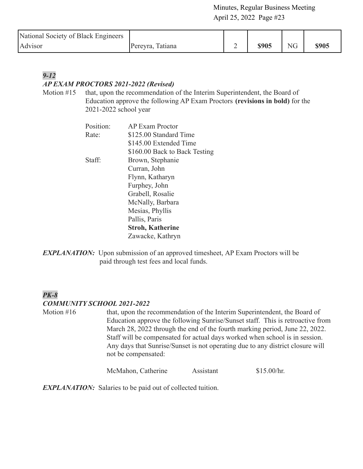| National Society of Black Engineers |                  |   |       |          |       |
|-------------------------------------|------------------|---|-------|----------|-------|
| <b>Advisor</b>                      | Pereyra, Tatiana | - | \$905 | $\rm NG$ | \$905 |

# *9-12 AP EXAM PROCTORS 2021-2022 (Revised)*

Motion #15 that, upon the recommendation of the Interim Superintendent, the Board of Education approve the following AP Exam Proctors **(revisions in bold)** for the 2021-2022 school year

| Position: | <b>AP Exam Proctor</b>        |
|-----------|-------------------------------|
| Rate:     | \$125.00 Standard Time        |
|           | \$145.00 Extended Time        |
|           | \$160.00 Back to Back Testing |
| Staff:    | Brown, Stephanie              |
|           | Curran, John                  |
|           | Flynn, Katharyn               |
|           | Furphey, John                 |
|           | Grabell, Rosalie              |
|           | McNally, Barbara              |
|           | Mesias, Phyllis               |
|           | Pallis, Paris                 |
|           | <b>Stroh, Katherine</b>       |
|           | Zawacke, Kathryn              |

*EXPLANATION:* Upon submission of an approved timesheet, AP Exam Proctors will be paid through test fees and local funds.

# *PK-8 COMMUNITY SCHOOL 2021-2022*

Motion #16 that, upon the recommendation of the Interim Superintendent, the Board of Education approve the following Sunrise/Sunset staff. This is retroactive from March 28, 2022 through the end of the fourth marking period, June 22, 2022. Staff will be compensated for actual days worked when school is in session. Any days that Sunrise/Sunset is not operating due to any district closure will not be compensated:

McMahon, Catherine Assistant \$15.00/hr.

*EXPLANATION:* Salaries to be paid out of collected tuition.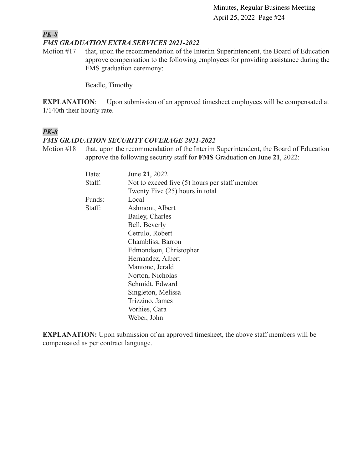#### *PK-8 FMS GRADUATION EXTRA SERVICES 2021-2022*

Motion #17 that, upon the recommendation of the Interim Superintendent, the Board of Education approve compensation to the following employees for providing assistance during the FMS graduation ceremony:

Beadle, Timothy

**EXPLANATION:** Upon submission of an approved timesheet employees will be compensated at 1/140th their hourly rate.

# *PK-8*

#### *FMS GRADUATION SECURITY COVERAGE 2021-2022*

Motion #18 that, upon the recommendation of the Interim Superintendent, the Board of Education approve the following security staff for **FMS** Graduation on June **21**, 2022:

| Date:  | June 21, 2022                                   |
|--------|-------------------------------------------------|
| Staff: | Not to exceed five $(5)$ hours per staff member |
|        | Twenty Five (25) hours in total                 |
| Funds: | Local                                           |
| Staff: | Ashmont, Albert                                 |
|        | Bailey, Charles                                 |
|        | Bell, Beverly                                   |
|        | Cetrulo, Robert                                 |
|        | Chambliss, Barron                               |
|        | Edmondson, Christopher                          |
|        | Hernandez, Albert                               |
|        | Mantone, Jerald                                 |
|        | Norton, Nicholas                                |
|        | Schmidt, Edward                                 |
|        | Singleton, Melissa                              |
|        | Trizzino, James                                 |
|        | Vorhies, Cara                                   |
|        | Weber, John                                     |

**EXPLANATION:** Upon submission of an approved timesheet, the above staff members will be compensated as per contract language.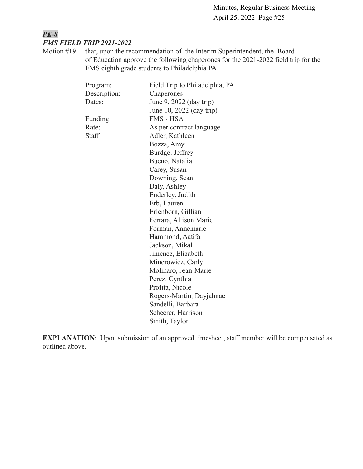# *PK-8 FMS FIELD TRIP 2021-2022*

Motion #19 that, upon the recommendation of the Interim Superintendent, the Board of Education approve the following chaperones for the 2021-2022 field trip for the FMS eighth grade students to Philadelphia PA

| Program:     | Field Trip to Philadelphia, PA |
|--------------|--------------------------------|
| Description: | Chaperones                     |
| Dates:       | June 9, 2022 (day trip)        |
|              | June 10, 2022 (day trip)       |
| Funding:     | <b>FMS - HSA</b>               |
| Rate:        | As per contract language       |
| Staff:       | Adler, Kathleen                |
|              | Bozza, Amy                     |
|              | Burdge, Jeffrey                |
|              | Bueno, Natalia                 |
|              | Carey, Susan                   |
|              | Downing, Sean                  |
|              | Daly, Ashley                   |
|              | Enderley, Judith               |
|              | Erb, Lauren                    |
|              | Erlenborn, Gillian             |
|              | Ferrara, Allison Marie         |
|              | Forman, Annemarie              |
|              | Hammond, Aatifa                |
|              | Jackson, Mikal                 |
|              | Jimenez, Elizabeth             |
|              | Minerowicz, Carly              |
|              | Molinaro, Jean-Marie           |
|              | Perez, Cynthia                 |
|              | Profita, Nicole                |
|              | Rogers-Martin, Dayjahnae       |
|              | Sandelli, Barbara              |
|              | Scheerer, Harrison             |
|              | Smith, Taylor                  |
|              |                                |

**EXPLANATION**: Upon submission of an approved timesheet, staff member will be compensated as outlined above.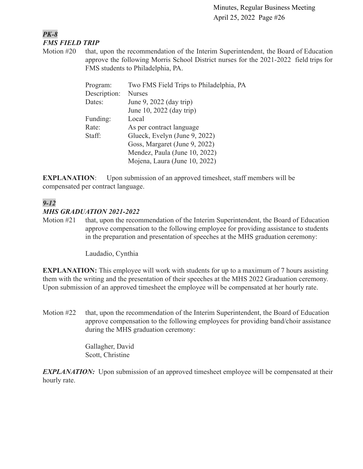#### *PK-8 FMS FIELD TRIP*

Motion #20 that, upon the recommendation of the Interim Superintendent, the Board of Education approve the following Morris School District nurses for the 2021-2022 field trips for FMS students to Philadelphia, PA.

| Program:     | Two FMS Field Trips to Philadelphia, PA |
|--------------|-----------------------------------------|
| Description: | <b>Nurses</b>                           |
| Dates:       | June 9, 2022 (day trip)                 |
|              | June 10, 2022 (day trip)                |
| Funding:     | Local                                   |
| Rate:        | As per contract language                |
| Staff:       | Glueck, Evelyn (June 9, 2022)           |
|              | Goss, Margaret (June 9, 2022)           |
|              | Mendez, Paula (June 10, 2022)           |
|              | Mojena, Laura (June 10, 2022)           |

**EXPLANATION:** Upon submission of an approved timesheet, staff members will be compensated per contract language.

# *9-12 MHS GRADUATION 2021-2022*

Motion #21 that, upon the recommendation of the Interim Superintendent, the Board of Education approve compensation to the following employee for providing assistance to students in the preparation and presentation of speeches at the MHS graduation ceremony:

Laudadio, Cynthia

**EXPLANATION:** This employee will work with students for up to a maximum of 7 hours assisting them with the writing and the presentation of their speeches at the MHS 2022 Graduation ceremony. Upon submission of an approved timesheet the employee will be compensated at her hourly rate.

Motion #22 that, upon the recommendation of the Interim Superintendent, the Board of Education approve compensation to the following employees for providing band/choir assistance during the MHS graduation ceremony:

> Gallagher, David Scott, Christine

*EXPLANATION:* Upon submission of an approved timesheet employee will be compensated at their hourly rate.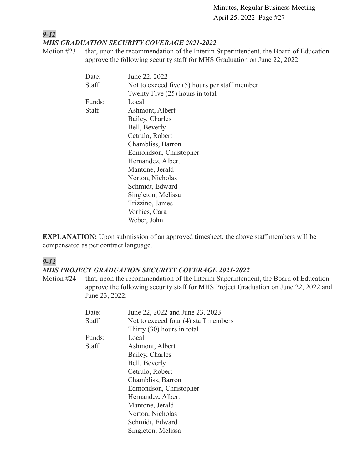#### *9-12 MHS GRADUATION SECURITY COVERAGE 2021-2022*

Motion #23 that, upon the recommendation of the Interim Superintendent, the Board of Education approve the following security staff for MHS Graduation on June 22, 2022:

| Date:  | June 22, 2022                                   |
|--------|-------------------------------------------------|
| Staff: | Not to exceed five $(5)$ hours per staff member |
|        | Twenty Five (25) hours in total                 |
| Funds: | Local                                           |
| Staff: | Ashmont, Albert                                 |
|        | Bailey, Charles                                 |
|        | Bell, Beverly                                   |
|        | Cetrulo, Robert                                 |
|        | Chambliss, Barron                               |
|        | Edmondson, Christopher                          |
|        | Hernandez, Albert                               |
|        | Mantone, Jerald                                 |
|        | Norton, Nicholas                                |
|        | Schmidt, Edward                                 |
|        | Singleton, Melissa                              |
|        | Trizzino, James                                 |
|        | Vorhies, Cara                                   |
|        | Weber, John                                     |

**EXPLANATION:** Upon submission of an approved timesheet, the above staff members will be compensated as per contract language.

# *9-12*

#### *MHS PROJECT GRADUATION SECURITY COVERAGE 2021-2022*

Motion #24 that, upon the recommendation of the Interim Superintendent, the Board of Education approve the following security staff for MHS Project Graduation on June 22, 2022 and June 23, 2022:

| June 22, 2022 and June 23, 2023        |
|----------------------------------------|
| Not to exceed four $(4)$ staff members |
| Thirty (30) hours in total             |
| Local                                  |
| Ashmont, Albert                        |
| Bailey, Charles                        |
| Bell, Beverly                          |
| Cetrulo, Robert                        |
| Chambliss, Barron                      |
| Edmondson, Christopher                 |
| Hernandez, Albert                      |
| Mantone, Jerald                        |
| Norton, Nicholas                       |
| Schmidt, Edward                        |
| Singleton, Melissa                     |
|                                        |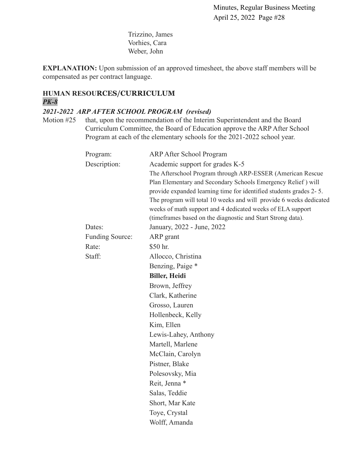Trizzino, James Vorhies, Cara Weber, John

**EXPLANATION:** Upon submission of an approved timesheet, the above staff members will be compensated as per contract language.

#### **HUMAN RESOURCES/CURRICULUM** *PK-8*

#### *2021-2022 ARP AFTER SCHOOL PROGRAM (revised)*

Motion #25 that, upon the recommendation of the Interim Superintendent and the Board Curriculum Committee, the Board of Education approve the ARP After School Program at each of the elementary schools for the 2021-2022 school year.

| Program:               | <b>ARP After School Program</b>                                                                                            |
|------------------------|----------------------------------------------------------------------------------------------------------------------------|
| Description:           | Academic support for grades K-5                                                                                            |
|                        | The Afterschool Program through ARP-ESSER (American Rescue<br>Plan Elementary and Secondary Schools Emergency Relief) will |
|                        | provide expanded learning time for identified students grades 2-5.                                                         |
|                        | The program will total 10 weeks and will provide 6 weeks dedicated                                                         |
|                        | weeks of math support and 4 dedicated weeks of ELA support                                                                 |
|                        | (timeframes based on the diagnostic and Start Strong data).                                                                |
| Dates:                 | January, 2022 - June, 2022                                                                                                 |
| <b>Funding Source:</b> | ARP grant                                                                                                                  |
| Rate:                  | \$50 hr.                                                                                                                   |
| Staff:                 | Allocco, Christina                                                                                                         |
|                        | Benzing, Paige *                                                                                                           |
|                        | <b>Biller, Heidi</b>                                                                                                       |
|                        | Brown, Jeffrey                                                                                                             |
|                        | Clark, Katherine                                                                                                           |
|                        | Grosso, Lauren                                                                                                             |
|                        | Hollenbeck, Kelly                                                                                                          |
|                        | Kim, Ellen                                                                                                                 |
|                        | Lewis-Lahey, Anthony                                                                                                       |
|                        | Martell, Marlene                                                                                                           |
|                        | McClain, Carolyn                                                                                                           |
|                        | Pistner, Blake                                                                                                             |
|                        | Polesovsky, Mia                                                                                                            |
|                        | Reit, Jenna *                                                                                                              |
|                        | Salas, Teddie                                                                                                              |
|                        | Short, Mar Kate                                                                                                            |
|                        | Toye, Crystal                                                                                                              |
|                        | Wolff, Amanda                                                                                                              |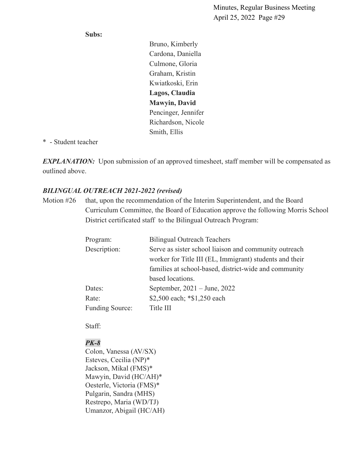**Subs:**

Bruno, Kimberly Cardona, Daniella Culmone, Gloria Graham, Kristin Kwiatkoski, Erin **Lagos, Claudia Mawyin, David** Pencinger, Jennifer Richardson, Nicole Smith, Ellis

#### \* - Student teacher

*EXPLANATION:* Upon submission of an approved timesheet, staff member will be compensated as outlined above.

# *BILINGUAL OUTREACH 2021-2022 (revised)*

Motion #26 that, upon the recommendation of the Interim Superintendent, and the Board Curriculum Committee, the Board of Education approve the following Morris School District certificated staff to the Bilingual Outreach Program:

| Program:               | <b>Bilingual Outreach Teachers</b>                      |
|------------------------|---------------------------------------------------------|
| Description:           | Serve as sister school liaison and community outreach   |
|                        | worker for Title III (EL, Immigrant) students and their |
|                        | families at school-based, district-wide and community   |
|                        | based locations.                                        |
| Dates:                 | September, $2021 - June$ , $2022$                       |
| Rate:                  | \$2,500 each; *\$1,250 each                             |
| <b>Funding Source:</b> | Title III                                               |

Staff:

# *PK-8*

Colon, Vanessa (AV/SX) Esteves, Cecilia (NP)\* Jackson, Mikal (FMS)\* Mawyin, David (HC/AH)\* Oesterle, Victoria (FMS)\* Pulgarin, Sandra (MHS) Restrepo, Maria (WD/TJ) Umanzor, Abigail (HC/AH)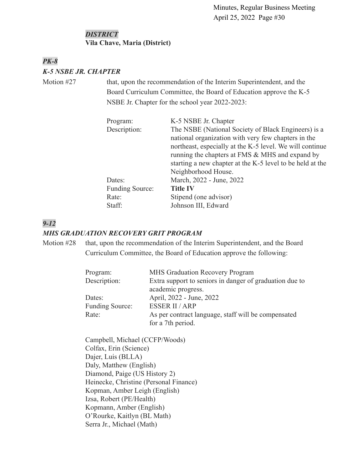#### *DISTRICT* **Vila Chave, Maria (District)**

# *PK-8 K-5 NSBE JR. CHAPTER*

Motion #27 that, upon the recommendation of the Interim Superintendent, and the Board Curriculum Committee, the Board of Education approve the K-5 NSBE Jr. Chapter for the school year 2022-2023:

| Program:               | K-5 NSBE Jr. Chapter                                      |
|------------------------|-----------------------------------------------------------|
| Description:           | The NSBE (National Society of Black Engineers) is a       |
|                        | national organization with very few chapters in the       |
|                        | northeast, especially at the K-5 level. We will continue  |
|                        | running the chapters at FMS & MHS and expand by           |
|                        | starting a new chapter at the K-5 level to be held at the |
|                        | Neighborhood House.                                       |
| Dates:                 | March, 2022 - June, 2022                                  |
| <b>Funding Source:</b> | <b>Title IV</b>                                           |
| Rate:                  | Stipend (one advisor)                                     |
| Staff:                 | Johnson III, Edward                                       |
|                        |                                                           |

# *9-12*

#### *MHS GRADUATION RECOVERY GRIT PROGRAM*

Motion #28 that, upon the recommendation of the Interim Superintendent, and the Board Curriculum Committee, the Board of Education approve the following:

| Program:               | <b>MHS</b> Graduation Recovery Program                  |
|------------------------|---------------------------------------------------------|
| Description:           | Extra support to seniors in danger of graduation due to |
|                        | academic progress.                                      |
| Dates:                 | April, 2022 - June, 2022                                |
| <b>Funding Source:</b> | <b>ESSER II / ARP</b>                                   |
| Rate:                  | As per contract language, staff will be compensated     |
|                        | for a 7th period.                                       |

Campbell, Michael (CCFP/Woods) Colfax, Erin (Science) Dajer, Luis (BLLA) Daly, Matthew (English) Diamond, Paige (US History 2) Heinecke, Christine (Personal Finance) Kopman, Amber Leigh (English) Izsa, Robert (PE/Health) Kopmann, Amber (English) O'Rourke, Kaitlyn (BL Math) Serra Jr., Michael (Math)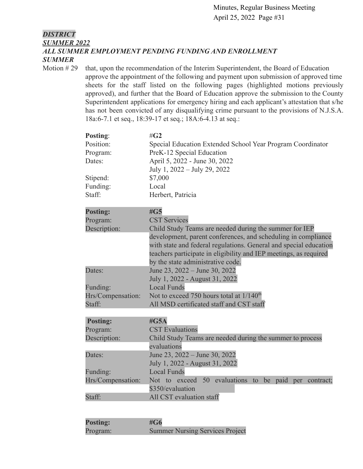# *DISTRICT SUMMER 2022 ALL SUMMER EMPLOYMENT PENDING FUNDING AND ENROLLMENT SUMMER*

Motion #29 that, upon the recommendation of the Interim Superintendent, the Board of Education approve the appointment of the following and payment upon submission of approved time sheets for the staff listed on the following pages (highlighted motions previously approved), and further that the Board of Education approve the submission to the County Superintendent applications for emergency hiring and each applicant's attestation that s/he has not been convicted of any disqualifying crime pursuant to the provisions of N.J.S.A. 18a:6-7.1 et seq., 18:39-17 et seq.; 18A:6-4.13 at seq.:

| Posting:          | $\#G2$                                                                  |
|-------------------|-------------------------------------------------------------------------|
| Position:         | Special Education Extended School Year Program Coordinator              |
| Program:          | PreK-12 Special Education                                               |
| Dates:            | April 5, 2022 - June 30, 2022                                           |
|                   | July 1, 2022 – July 29, 2022                                            |
| Stipend:          | \$7,000                                                                 |
| Funding:          | Local                                                                   |
| Staff:            | Herbert, Patricia                                                       |
| <b>Posting:</b>   | #G5                                                                     |
| Program:          | <b>CST Services</b>                                                     |
| Description:      | Child Study Teams are needed during the summer for IEP                  |
|                   | development, parent conferences, and scheduling in compliance           |
|                   | with state and federal regulations. General and special education       |
|                   | teachers participate in eligibility and IEP meetings, as required       |
|                   | by the state administrative code.                                       |
| Dates:            | June 23, 2022 – June 30, 2022                                           |
|                   | July 1, 2022 - August 31, 2022                                          |
| Funding:          | <b>Local Funds</b>                                                      |
| Hrs/Compensation: | Not to exceed 750 hours total at $1/140^{th}$                           |
| Staff:            | All MSD certificated staff and CST staff                                |
| <b>Posting:</b>   | # $G5A$                                                                 |
| Program:          | <b>CST</b> Evaluations                                                  |
| Description:      | Child Study Teams are needed during the summer to process               |
|                   | evaluations                                                             |
| Dates:            | June 23, 2022 – June 30, 2022                                           |
|                   | July 1, 2022 - August 31, 2022                                          |
| Funding:          | <b>Local Funds</b>                                                      |
| Hrs/Compensation: | 50 evaluations<br>paid<br>Not to exceed<br>be<br>to<br>per<br>contract; |
|                   | \$350/evaluation                                                        |
| Staff:            | All CST evaluation staff                                                |

| <b>Posting:</b> | $\#G6$                                 |
|-----------------|----------------------------------------|
| Program:        | <b>Summer Nursing Services Project</b> |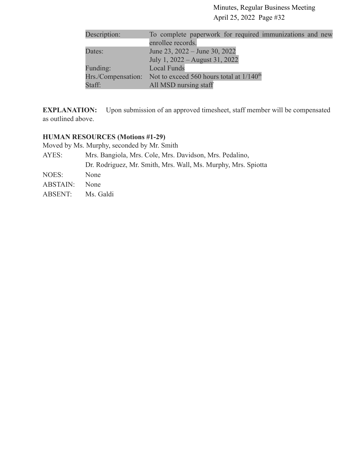| Description: | To complete paperwork for required immunizations and new         |
|--------------|------------------------------------------------------------------|
|              | enrollee records.                                                |
| Dates:       | June 23, $2022 -$ June 30, 2022                                  |
|              | July 1, 2022 – August 31, 2022                                   |
| Funding:     | <b>Local Funds</b>                                               |
|              | Hrs./Compensation: Not to exceed 560 hours total at $1/140^{th}$ |
| Staff:       | All MSD nursing staff                                            |

**EXPLANATION:** Upon submission of an approved timesheet, staff member will be compensated as outlined above.

# **HUMAN RESOURCES (Motions #1-29)**

|                 | Moved by Ms. Murphy, seconded by Mr. Smith                    |
|-----------------|---------------------------------------------------------------|
| AYES:           | Mrs. Bangiola, Mrs. Cole, Mrs. Davidson, Mrs. Pedalino,       |
|                 | Dr. Rodriguez, Mr. Smith, Mrs. Wall, Ms. Murphy, Mrs. Spiotta |
| NOES:           | None                                                          |
| <b>ABSTAIN:</b> | None                                                          |
| ABSENT:         | Ms. Galdi                                                     |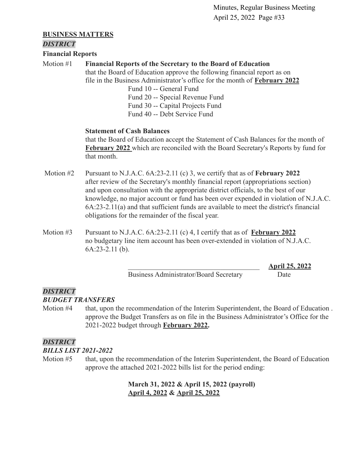#### **BUSINESS MATTERS**

#### *DISTRICT*

**Financial Reports**

# Motion #1 **Financial Reports of the Secretary to the Board of Education**

that the Board of Education approve the following financial report as on file in the Business Administrator's office for the month of **[February 2022](https://drive.google.com/file/d/1_U3Hto9QK3w9lu67Qs_TOmLvAGY_bb9n/view?usp=sharing)**

Fund 10 -- General Fund Fund 20 -- Special Revenue Fund Fund 30 -- Capital Projects Fund Fund 40 -- Debt Service Fund

#### **Statement of Cash Balances**

that the Board of Education accept the Statement of Cash Balances for the month of **[February 2022](https://drive.google.com/file/d/1TMJvxccJTCwWBQnq8_rcQ1DyJc23btC1/view?usp=sharing)** which are reconciled with the Board Secretary's Reports by fund for that month.

- Motion #2 Pursuant to N.J.A.C. 6A:23-2.11 (c) 3, we certify that as of **February 2022** after review of the Secretary's monthly financial report (appropriations section) and upon consultation with the appropriate district officials, to the best of our knowledge, no major account or fund has been over expended in violation of N.J.A.C. 6A:23-2.11(a) and that sufficient funds are available to meet the district's financial obligations for the remainder of the fiscal year.
- Motion #3 Pursuant to N.J.A.C. 6A:23-2.11 (c) 4, I certify that as of **February 2022** no budgetary line item account has been over-extended in violation of N.J.A.C. 6A:23-2.11 (b).

Business Administrator/Board Secretary Date

\_\_\_\_\_\_\_\_\_\_\_\_\_\_\_\_\_\_\_\_\_\_\_\_\_\_\_\_\_\_\_\_\_\_\_\_\_ **April 25, 2022**

#### *DISTRICT BUDGET TRANSFERS*

Motion #4 that, upon the recommendation of the Interim Superintendent, the Board of Education . approve the Budget Transfers as on file in the Business Administrator's Office for the 2021-2022 budget through **[February 2022.](https://drive.google.com/file/d/1-lZpbHWOGPJ4xhaiGXqDmkXZhPQJasw1/view?usp=sharing)**

# *DISTRICT*

# *BILLS LIST 2021-2022*

Motion #5 that, upon the recommendation of the Interim Superintendent, the Board of Education approve the attached 2021-2022 bills list for the period ending:

> **March 31, 2022 & April 15, 2022 (payroll) [April 4, 2022](https://drive.google.com/file/d/1Gd3wi6fAurqlVQQ5iF4T79GslMTdoKaJ/view?usp=sharing) & [April 25, 2022](https://drive.google.com/file/d/1pkBJyjPuVJnDL3602kP3Xit01F0shLl5/view?usp=sharing)**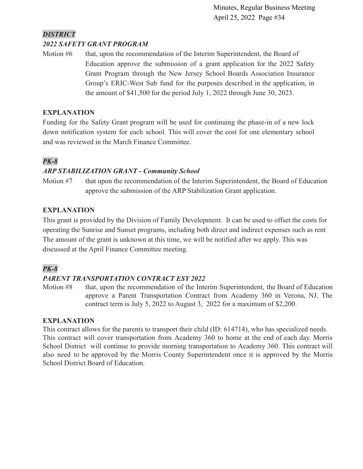# *DISTRICT*

#### *2022 SAFETY GRANT PROGRAM*

Motion #6 that, upon the recommendation of the Interim Superintendent, the Board of Education approve the submission of a grant application for the 2022 Safety Grant Program through the New Jersey School Boards Association Insurance Group's ERIC-West Sub fund for the purposes described in the application, in the amount of \$41,500 for the period July 1, 2022 through June 30, 2023.

### **EXPLANATION**

Funding for the Safety Grant program will be used for continuing the phase-in of a new lock down notification system for each school. This will cover the cost for one elementary school and was reviewed in the March Finance Committee.

# *PK-8*

# *ARP STABILIZATION GRANT - Community School*

Motion #7 that upon the recommendation of the Interim Superintendent, the Board of Education approve the submission of the ARP Stabilization Grant application.

# **EXPLANATION**

This grant is provided by the Division of Family Development. It can be used to offset the costs for operating the Sunrise and Sunset programs, including both direct and indirect expenses such as rent The amount of the grant is unknown at this time, we will be notified after we apply. This was discussed at the April Finance Committee meeting.

# *PK-8*

# *PARENT TRANSPORTATION CONTRACT ESY 2022*

Motion #8 that, upon the recommendation of the Interim Superintendent, the Board of Education approve a Parent Transportation Contract from Academy 360 in Verona, NJ. The contract term is July 5, 2022 to August 3, 2022 for a maximum of \$2,200.

#### **EXPLANATION**

This contract allows for the parents to transport their child (ID: 614714), who has specialized needs. This contract will cover transportation from Academy 360 to home at the end of each day. Morris School District will continue to provide morning transportation to Academy 360. This contract will also need to be approved by the Morris County Superintendent once it is approved by the Morris School District Board of Education.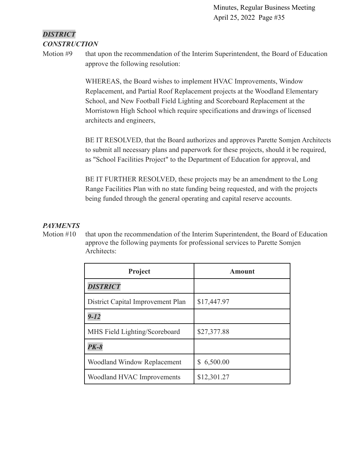# *DISTRICT CONSTRUCTION*

Motion #9 that upon the recommendation of the Interim Superintendent, the Board of Education approve the following resolution:

> WHEREAS, the Board wishes to implement HVAC Improvements, Window Replacement, and Partial Roof Replacement projects at the Woodland Elementary School, and New Football Field Lighting and Scoreboard Replacement at the Morristown High School which require specifications and drawings of licensed architects and engineers,

BE IT RESOLVED, that the Board authorizes and approves Parette Somjen Architects to submit all necessary plans and paperwork for these projects, should it be required, as "School Facilities Project" to the Department of Education for approval, and

BE IT FURTHER RESOLVED, these projects may be an amendment to the Long Range Facilities Plan with no state funding being requested, and with the projects being funded through the general operating and capital reserve accounts.

#### *PAYMENTS*

Motion #10 that upon the recommendation of the Interim Superintendent, the Board of Education approve the following payments for professional services to Parette Somjen Architects:

| Project                           | Amount        |
|-----------------------------------|---------------|
| <b>DISTRICT</b>                   |               |
| District Capital Improvement Plan | \$17,447.97   |
| $9 - 12$                          |               |
| MHS Field Lighting/Scoreboard     | \$27,377.88   |
| <b>PK-8</b>                       |               |
| Woodland Window Replacement       | 6,500.00<br>S |
| Woodland HVAC Improvements        | \$12,301.27   |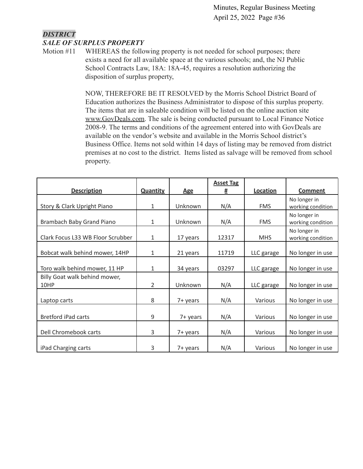#### *DISTRICT SALE OF SURPLUS PROPERTY*

Motion #11 WHEREAS the following property is not needed for school purposes; there exists a need for all available space at the various schools; and, the NJ Public School Contracts Law, 18A: 18A-45, requires a resolution authorizing the disposition of surplus property,

> NOW, THEREFORE BE IT RESOLVED by the Morris School District Board of Education authorizes the Business Administrator to dispose of this surplus property. The items that are in saleable condition will be listed on the online auction site [www.GovDeals.com.](http://www.govdeals.com) The sale is being conducted pursuant to Local Finance Notice 2008-9. The terms and conditions of the agreement entered into with GovDeals are available on the vendor's website and available in the Morris School district's Business Office. Items not sold within 14 days of listing may be removed from district premises at no cost to the district. Items listed as salvage will be removed from school property.

|                                       |                 |            | <b>Asset Tag</b> |            |                                   |
|---------------------------------------|-----------------|------------|------------------|------------|-----------------------------------|
| <b>Description</b>                    | <b>Quantity</b> | <u>Age</u> | #                | Location   | <b>Comment</b>                    |
| Story & Clark Upright Piano           | 1               | Unknown    | N/A              | <b>FMS</b> | No longer in<br>working condition |
| Brambach Baby Grand Piano             | $\mathbf{1}$    | Unknown    | N/A              | <b>FMS</b> | No longer in<br>working condition |
| Clark Focus L33 WB Floor Scrubber     | $\mathbf{1}$    | 17 years   | 12317            | <b>MHS</b> | No longer in<br>working condition |
| Bobcat walk behind mower, 14HP        | $\mathbf{1}$    | 21 years   | 11719            | LLC garage | No longer in use                  |
| Toro walk behind mower, 11 HP         | 1               | 34 years   | 03297            | LLC garage | No longer in use                  |
| Billy Goat walk behind mower,<br>10HP | $\overline{2}$  | Unknown    | N/A              | LLC garage | No longer in use                  |
| Laptop carts                          | 8               | 7+ years   | N/A              | Various    | No longer in use                  |
| <b>Bretford iPad carts</b>            | 9               | 7+ years   | N/A              | Various    | No longer in use                  |
| Dell Chromebook carts                 | 3               | 7+ years   | N/A              | Various    | No longer in use                  |
| iPad Charging carts                   | 3               | 7+ years   | N/A              | Various    | No longer in use                  |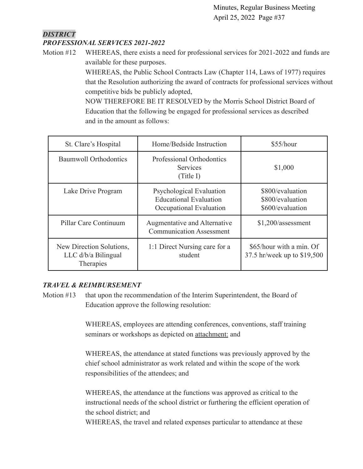#### *DISTRICT PROFESSIONAL SERVICES 2021-2022*

Motion #12 WHEREAS, there exists a need for professional services for 2021-2022 and funds are available for these purposes.

> WHEREAS, the Public School Contracts Law (Chapter 114, Laws of 1977) requires that the Resolution authorizing the award of contracts for professional services without competitive bids be publicly adopted,

NOW THEREFORE BE IT RESOLVED by the Morris School District Board of Education that the following be engaged for professional services as described and in the amount as follows:

| St. Clare's Hospital                                           | Home/Bedside Instruction                                                             | \$55/hour                                                |  |
|----------------------------------------------------------------|--------------------------------------------------------------------------------------|----------------------------------------------------------|--|
| <b>Baumwoll Orthodontics</b>                                   | Professional Orthodontics<br><b>Services</b><br>(Title I)                            | \$1,000                                                  |  |
| Lake Drive Program                                             | Psychological Evaluation<br><b>Educational Evaluation</b><br>Occupational Evaluation | \$800/evaluation<br>\$800/evaluation<br>\$600/evaluation |  |
| Pillar Care Continuum                                          | Augmentative and Alternative<br><b>Communication Assessment</b>                      | $$1,200/$ assessment                                     |  |
| New Direction Solutions,<br>$LLC$ d/b/a Bilingual<br>Therapies | 1:1 Direct Nursing care for a<br>student                                             | \$65/hour with a min. Of<br>37.5 hr/week up to \$19,500  |  |

# *TRAVEL & REIMBURSEMENT*

Motion #13 that upon the recommendation of the Interim Superintendent, the Board of Education approve the following resolution:

> WHEREAS, employees are attending conferences, conventions, staff training seminars or workshops as depicted on **attachment**: and

WHEREAS, the attendance at stated functions was previously approved by the chief school administrator as work related and within the scope of the work responsibilities of the attendees; and

WHEREAS, the attendance at the functions was approved as critical to the instructional needs of the school district or furthering the efficient operation of the school district; and

WHEREAS, the travel and related expenses particular to attendance at these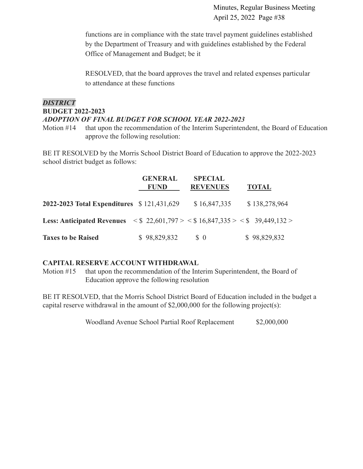functions are in compliance with the state travel payment guidelines established by the Department of Treasury and with guidelines established by the Federal Office of Management and Budget; be it

RESOLVED, that the board approves the travel and related expenses particular to attendance at these functions

# *DISTRICT* **BUDGET 2022-2023** *ADOPTION OF FINAL BUDGET FOR SCHOOL YEAR 2022-2023*

Motion #14 that upon the recommendation of the Interim Superintendent, the Board of Education approve the following resolution:

BE IT RESOLVED by the Morris School District Board of Education to approve the 2022-2023 school district budget as follows:

|                                                                                                                               | <b>GENERAL</b><br><b>FUND</b> | <b>SPECIAL</b><br><b>REVENUES</b> | <b>TOTAL</b>  |
|-------------------------------------------------------------------------------------------------------------------------------|-------------------------------|-----------------------------------|---------------|
| 2022-2023 Total Expenditures \$121,431,629                                                                                    |                               | \$16,847,335                      | \$138,278,964 |
| <b>Less: Anticipated Revenues</b> $\langle \$ 22,601,797 \rangle \langle \$ 16,847,335 \rangle \langle \$ 39,449,132 \rangle$ |                               |                                   |               |
| <b>Taxes to be Raised</b>                                                                                                     | \$98,829,832                  | $\Omega$                          | \$98,829,832  |

#### **CAPITAL RESERVE ACCOUNT WITHDRAWAL**

Motion #15 that upon the recommendation of the Interim Superintendent, the Board of Education approve the following resolution

BE IT RESOLVED, that the Morris School District Board of Education included in the budget a capital reserve withdrawal in the amount of \$2,000,000 for the following project(s):

Woodland Avenue School Partial Roof Replacement \$2,000,000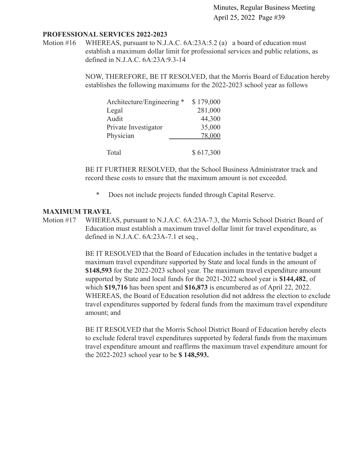#### **PROFESSIONAL SERVICES 2022-2023**

Motion #16 WHEREAS, pursuant to N.J.A.C. 6A:23A:5.2 (a) a board of education must establish a maximum dollar limit for professional services and public relations, as defined in N.J.A.C. 6A:23A:9.3-14

> NOW, THEREFORE, BE IT RESOLVED, that the Morris Board of Education hereby establishes the following maximums for the 2022-2023 school year as follows

| Architecture/Engineering * | \$179,000 |
|----------------------------|-----------|
| Legal                      | 281,000   |
| Audit                      | 44,300    |
| Private Investigator       | 35,000    |
| Physician                  | 78,000    |
|                            |           |
| Total                      | \$617,300 |

BE IT FURTHER RESOLVED, that the School Business Administrator track and record these costs to ensure that the maximum amount is not exceeded.

\* Does not include projects funded through Capital Reserve.

#### **MAXIMUM TRAVEL**

Motion #17 WHEREAS, pursuant to N.J.A.C. 6A:23A-7.3, the Morris School District Board of Education must establish a maximum travel dollar limit for travel expenditure, as defined in N.J.A.C. 6A:23A-7.1 et seq.,

> BE IT RESOLVED that the Board of Education includes in the tentative budget a maximum travel expenditure supported by State and local funds in the amount of **\$148,593** for the 2022-2023 school year. The maximum travel expenditure amount supported by State and local funds for the 2021-2022 school year is **\$144,482**, of which **\$19,716** has been spent and **\$16,873** is encumbered as of April 22, 2022. WHEREAS, the Board of Education resolution did not address the election to exclude travel expenditures supported by federal funds from the maximum travel expenditure amount; and

BE IT RESOLVED that the Morris School District Board of Education hereby elects to exclude federal travel expenditures supported by federal funds from the maximum travel expenditure amount and reaffirms the maximum travel expenditure amount for the 2022-2023 school year to be **\$ 148,593.**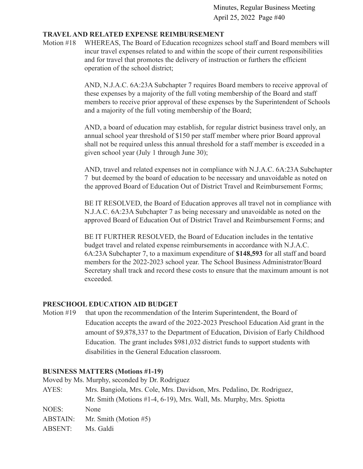#### **TRAVELAND RELATED EXPENSE REIMBURSEMENT**

Motion #18 WHEREAS, The Board of Education recognizes school staff and Board members will incur travel expenses related to and within the scope of their current responsibilities and for travel that promotes the delivery of instruction or furthers the efficient operation of the school district;

> AND, N.J.A.C. 6A:23A Subchapter 7 requires Board members to receive approval of these expenses by a majority of the full voting membership of the Board and staff members to receive prior approval of these expenses by the Superintendent of Schools and a majority of the full voting membership of the Board;

AND, a board of education may establish, for regular district business travel only, an annual school year threshold of \$150 per staff member where prior Board approval shall not be required unless this annual threshold for a staff member is exceeded in a given school year (July 1 through June 30);

AND, travel and related expenses not in compliance with N.J.A.C. 6A:23A Subchapter 7 but deemed by the board of education to be necessary and unavoidable as noted on the approved Board of Education Out of District Travel and Reimbursement Forms;

BE IT RESOLVED, the Board of Education approves all travel not in compliance with N.J.A.C. 6A:23A Subchapter 7 as being necessary and unavoidable as noted on the approved Board of Education Out of District Travel and Reimbursement Forms; and

BE IT FURTHER RESOLVED, the Board of Education includes in the tentative budget travel and related expense reimbursements in accordance with N.J.A.C. 6A:23A Subchapter 7, to a maximum expenditure of **\$148,593** for all staff and board members for the 2022-2023 school year. The School Business Administrator/Board Secretary shall track and record these costs to ensure that the maximum amount is not exceeded.

#### **PRESCHOOL EDUCATION AID BUDGET**

Motion #19 that upon the recommendation of the Interim Superintendent, the Board of Education accepts the award of the 2022-2023 Preschool Education Aid grant in the amount of \$9,878,337 to the Department of Education, Division of Early Childhood Education. The grant includes \$981,032 district funds to support students with disabilities in the General Education classroom.

#### **BUSINESS MATTERS (Motions #1-19)**

Moved by Ms. Murphy, seconded by Dr. Rodriguez

AYES: Mrs. Bangiola, Mrs. Cole, Mrs. Davidson, Mrs. Pedalino, Dr. Rodriguez, Mr. Smith (Motions #1-4, 6-19), Mrs. Wall, Ms. Murphy, Mrs. Spiotta NOES: None ABSTAIN: Mr. Smith (Motion #5) ABSENT: Ms. Galdi